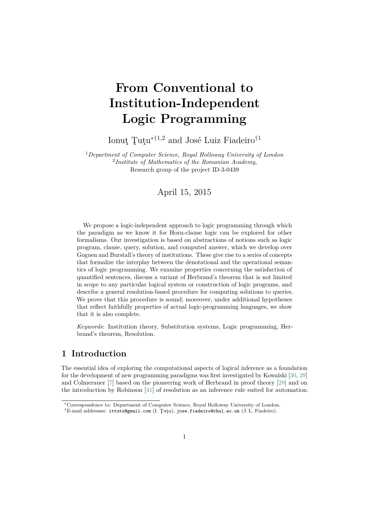# **From Conventional to Institution-Independent Logic Programming**

Ionuţ Ţuţu∗†1,2 and José Luiz Fiadeiro†<sup>1</sup>

<sup>1</sup>*Department of Computer Science, Royal Holloway University of London* 2 *Institute of Mathematics of the Romanian Academy,* Research group of the project ID-3-0439

# April 15, 2015

We propose a logic-independent approach to logic programming through which the paradigm as we know it for Horn-clause logic can be explored for other formalisms. Our investigation is based on abstractions of notions such as logic program, clause, query, solution, and computed answer, which we develop over Goguen and Burstall's theory of institutions. These give rise to a series of concepts that formalize the interplay between the denotational and the operational semantics of logic programming. We examine properties concerning the satisfaction of quantified sentences, discuss a variant of Herbrand's theorem that is not limited in scope to any particular logical system or construction of logic programs, and describe a general resolution-based procedure for computing solutions to queries. We prove that this procedure is sound; moreover, under additional hypotheses that reflect faithfully properties of actual logic-programming languages, we show that it is also complete.

*Keywords*: Institution theory, Substitution systems, Logic programming, Herbrand's theorem, Resolution.

# **1 Introduction**

The essential idea of exploring the computational aspects of logical inference as a foundation for the development of new programming paradigms was first investigated by Kowalski [\[30,](#page-36-0) [29\]](#page-36-1) and Colmerauer [\[7\]](#page-34-0) based on the pioneering work of Herbrand in proof theory [\[28\]](#page-36-2) and on the introduction by Robinson [\[41\]](#page-37-0) of resolution as an inference rule suited for automation.

<sup>∗</sup>Correspondence to: Department of Computer Science, Royal Holloway University of London.

<sup>†</sup>E-mail addresses: ittutu@gmail.com (I. Ţuţu), jose.fiadeiro@rhul.ac.uk (J. L. Fiadeiro).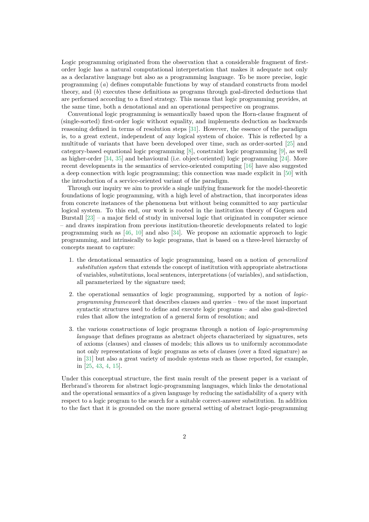Logic programming originated from the observation that a considerable fragment of firstorder logic has a natural computational interpretation that makes it adequate not only as a declarative language but also as a programming language. To be more precise, logic programming (*a*) defines computable functions by way of standard constructs from model theory, and (*b*) executes these definitions as programs through goal-directed deductions that are performed according to a fixed strategy. This means that logic programming provides, at the same time, both a denotational and an operational perspective on programs.

Conventional logic programming is semantically based upon the Horn-clause fragment of (single-sorted) first-order logic without equality, and implements deduction as backwards reasoning defined in terms of resolution steps [\[31\]](#page-36-3). However, the essence of the paradigm is, to a great extent, independent of any logical system of choice. This is reflected by a multitude of variants that have been developed over time, such as order-sorted [\[25\]](#page-35-0) and category-based equational logic programming [\[8\]](#page-34-1), constraint logic programming [\[9\]](#page-34-2), as well as higher-order [\[34,](#page-36-4) [35\]](#page-36-5) and behavioural (i.e. object-oriented) logic programming [\[24\]](#page-35-1). More recent developments in the semantics of service-oriented computing [\[16\]](#page-35-2) have also suggested a deep connection with logic programming; this connection was made explicit in [\[50\]](#page-37-1) with the introduction of a service-oriented variant of the paradigm.

Through our inquiry we aim to provide a single unifying framework for the model-theoretic foundations of logic programming, with a high level of abstraction, that incorporates ideas from concrete instances of the phenomena but without being committed to any particular logical system. To this end, our work is rooted in the institution theory of Goguen and Burstall  $[23]$  – a major field of study in universal logic that originated in computer science – and draws inspiration from previous institution-theoretic developments related to logic programming such as [\[46,](#page-37-2) [10\]](#page-34-3) and also [\[34\]](#page-36-4). We propose an axiomatic approach to logic programming, and intrinsically to logic programs, that is based on a three-level hierarchy of concepts meant to capture:

- 1. the denotational semantics of logic programming, based on a notion of *generalized substitution system* that extends the concept of institution with appropriate abstractions of variables, substitutions, local sentences, interpretations (of variables), and satisfaction, all parameterized by the signature used;
- 2. the operational semantics of logic programming, supported by a notion of *logicprogramming framework* that describes clauses and queries – two of the most important syntactic structures used to define and execute logic programs – and also goal-directed rules that allow the integration of a general form of resolution; and
- 3. the various constructions of logic programs through a notion of *logic-programming language* that defines programs as abstract objects characterized by signatures, sets of axioms (clauses) and classes of models; this allows us to uniformly accommodate not only representations of logic programs as sets of clauses (over a fixed signature) as in [\[31\]](#page-36-3) but also a great variety of module systems such as those reported, for example, in [\[25,](#page-35-0) [43,](#page-37-3) [4,](#page-34-4) [15\]](#page-35-4).

Under this conceptual structure, the first main result of the present paper is a variant of Herbrand's theorem for abstract logic-programming languages, which links the denotational and the operational semantics of a given language by reducing the satisfiability of a query with respect to a logic program to the search for a suitable correct-answer substitution. In addition to the fact that it is grounded on the more general setting of abstract logic-programming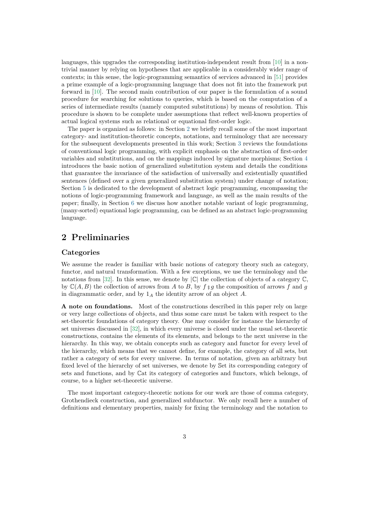languages, this upgrades the corresponding institution-independent result from [\[10\]](#page-34-3) in a nontrivial manner by relying on hypotheses that are applicable in a considerably wider range of contexts; in this sense, the logic-programming semantics of services advanced in [\[51\]](#page-37-4) provides a prime example of a logic-programming language that does not fit into the framework put forward in [\[10\]](#page-34-3). The second main contribution of our paper is the formulation of a sound procedure for searching for solutions to queries, which is based on the computation of a series of intermediate results (namely computed substitutions) by means of resolution. This procedure is shown to be complete under assumptions that reflect well-known properties of actual logical systems such as relational or equational first-order logic.

The paper is organized as follows: in Section [2](#page-2-0) we briefly recall some of the most important category- and institution-theoretic concepts, notations, and terminology that are necessary for the subsequent developments presented in this work; Section [3](#page-7-0) reviews the foundations of conventional logic programming, with explicit emphasis on the abstraction of first-order variables and substitutions, and on the mappings induced by signature morphisms; Section [4](#page-11-0) introduces the basic notion of generalized substitution system and details the conditions that guarantee the invariance of the satisfaction of universally and existentially quantified sentences (defined over a given generalized substitution system) under change of notation; Section [5](#page-17-0) is dedicated to the development of abstract logic programming, encompassing the notions of logic-programming framework and language, as well as the main results of the paper; finally, in Section [6](#page-29-0) we discuss how another notable variant of logic programming, (many-sorted) equational logic programming, can be defined as an abstract logic-programming language.

# <span id="page-2-0"></span>**2 Preliminaries**

## **Categories**

We assume the reader is familiar with basic notions of category theory such as category, functor, and natural transformation. With a few exceptions, we use the terminology and the notations from [\[32\]](#page-36-6). In this sense, we denote by  $|\mathbb{C}|$  the collection of objects of a category  $\mathbb{C}$ , by  $\mathbb{C}(A, B)$  the collection of arrows from *A* to *B*, by  $f \, \mathfrak{g} \, g$  the composition of arrows f and g in diagrammatic order, and by 1*<sup>A</sup>* the identity arrow of an object *A*.

**A note on foundations.** Most of the constructions described in this paper rely on large or very large collections of objects, and thus some care must be taken with respect to the set-theoretic foundations of category theory. One may consider for instance the hierarchy of set universes discussed in [\[32\]](#page-36-6), in which every universe is closed under the usual set-theoretic constructions, contains the elements of its elements, and belongs to the next universe in the hierarchy. In this way, we obtain concepts such as category and functor for every level of the hierarchy, which means that we cannot define, for example, the category of all sets, but rather a category of sets for every universe. In terms of notation, given an arbitrary but fixed level of the hierarchy of set universes, we denote by Set its corresponding category of sets and functions, and by Cat its category of categories and functors, which belongs, of course, to a higher set-theoretic universe.

The most important category-theoretic notions for our work are those of comma category, Grothendieck construction, and generalized subfunctor. We only recall here a number of definitions and elementary properties, mainly for fixing the terminology and the notation to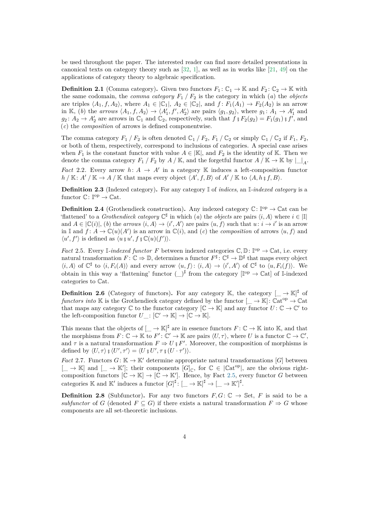be used throughout the paper. The interested reader can find more detailed presentations in canonical texts on category theory such as [\[32,](#page-36-6) [1\]](#page-34-5), as well as in works like [\[21,](#page-35-5) [49\]](#page-37-5) on the applications of category theory to algebraic specification.

**Definition 2.1** (Comma category). Given two functors  $F_1: \mathbb{C}_1 \to \mathbb{K}$  and  $F_2: \mathbb{C}_2 \to \mathbb{K}$  with the same codomain, the *comma category*  $F_1 / F_2$  is the category in which (*a*) the *objects* are triples  $\langle A_1, f, A_2 \rangle$ , where  $A_1 \in |\mathbb{C}_1|$ ,  $A_2 \in |\mathbb{C}_2|$ , and  $f: F_1(A_1) \to F_2(A_2)$  is an arrow in K, (b) the *arrows*  $\langle A_1, f, A_2 \rangle \rightarrow \langle A'_1, f', A'_2 \rangle$  are pairs  $\langle g_1, g_2 \rangle$ , where  $g_1: A_1 \rightarrow A'_1$  and  $g_2: A_2 \to A'_2$  are arrows in  $\mathbb{C}_1$  and  $\mathbb{C}_2$ , respectively, such that  $f \in F_2(g_2) = F_1(g_1) \in f'$ , and (*c*) the *composition* of arrows is defined componentwise.

The comma category  $F_1 / F_2$  is often denoted  $\mathbb{C}_1 / F_2$ ,  $F_1 / \mathbb{C}_2$  or simply  $\mathbb{C}_1 / \mathbb{C}_2$  if  $F_1, F_2$ , or both of them, respectively, correspond to inclusions of categories. A special case arises when  $F_1$  is the constant functor with value  $A \in |\mathbb{K}|$ , and  $F_2$  is the identity of K. Then we denote the comma category  $F_1 / F_2$  by  $A / K$ , and the forgetful functor  $A / K \to K$  by  $|\_A$ .

*Fact* 2.2. Every arrow  $h: A \rightarrow A'$  in a category K induces a left-composition functor  $h / \mathbb{K}: A'/\mathbb{K} \to A/\mathbb{K}$  that maps every object  $\langle A', f, B \rangle$  of  $A'/\mathbb{K}$  to  $\langle A, h, f, B \rangle$ .

**Definition 2.3** (Indexed category)**.** For any category I of *indices*, an I*-indexed category* is a functor  $\mathbb{C} \colon \mathbb{I}^{\mathrm{op}} \to \mathbb{C}$ at.

**Definition 2.4** (Grothendieck construction). Any indexed category  $\mathbb{C}$ :  $\mathbb{P}^{\text{p}} \to \mathbb{C}$ at can be 'flattened' to a *Grothendieck category*  $\mathbb{C}^{\sharp}$  in which  $(a)$  the *objects* are pairs  $\langle i, A \rangle$  where  $i \in |\mathbb{I}|$ and  $A \in |\mathbb{C}(i)|$ , *(b)* the *arrows*  $\langle i, A \rangle \rightarrow \langle i', A' \rangle$  are pairs  $\langle u, f \rangle$  such that  $u : i \rightarrow i'$  is an arrow in I and  $f: A \to \mathbb{C}(u)(A')$  is an arrow in  $\mathbb{C}(i)$ , and (*c*) the *composition* of arrows  $\langle u, f \rangle$  and  $\langle u', f' \rangle$  is defined as  $\langle u \, \xi \, u', f \, \xi \, \mathbb{C}(u)(f') \rangle$ .

<span id="page-3-0"></span>*Fact* 2.5*.* Every I-indexed functor F between indexed categories  $\mathbb{C}, \mathbb{D} \colon \mathbb{I}^{\text{op}} \to \mathbb{C}$ at, i.e. every natural transformation  $F: \mathbb{C} \to \mathbb{D}$ , determines a functor  $F^{\sharp}: \mathbb{C}^{\sharp} \to \mathbb{D}^{\sharp}$  that maps every object  $\langle i, A \rangle$  of  $\mathbb{C}^{\sharp}$  to  $\langle i, F_i(A) \rangle$  and every arrow  $\langle u, f \rangle$ :  $\langle i, A \rangle \to \langle i', A' \rangle$  of  $\mathbb{C}^{\sharp}$  to  $\langle u, F_i(f) \rangle$ . We obtain in this way a 'flattening' functor  $(\_)^{\sharp}$  from the category  $[\mathbb{I}^{\text{op}} \to \mathbb{C}$ at] of I-indexed categories to Cat.

**Definition 2.6** (Category of functors). For any category K, the category  $\left[\_\right] \to \mathbb{K}\right]^{\sharp}$  of *functors into* K is the Grothendieck category defined by the functor  $[\_\to \mathbb{K}]$ :  $\mathbb{C}at^{op} \to \mathbb{C}at$ that maps any category  $\mathbb C$  to the functor category  $[\mathbb C \to \mathbb K]$  and any functor  $U \colon \mathbb C \to \mathbb C'$  to the left-composition functor  $U_{\perp}: [\mathbb{C}' \to \mathbb{K}] \to [\mathbb{C} \to \mathbb{K}].$ 

This means that the objects of  $[\underline{\ } \to \mathbb{K}]^{\sharp}$  are in essence functors  $F: \mathbb{C} \to \mathbb{K}$  into K, and that the morphisms from  $F: \mathbb{C} \to \mathbb{K}$  to  $F': \mathbb{C}' \to \mathbb{K}$  are pairs  $\langle U, \tau \rangle$ , where *U* is a functor  $\mathbb{C} \to \mathbb{C}'$ , and  $\tau$  is a natural transformation  $F \Rightarrow U \in F'$ . Moreover, the composition of morphisms is defined by  $\langle U, \tau \rangle$   $\frac{1}{2} \langle U', \tau' \rangle = \langle U \frac{1}{2} U', \tau \frac{1}{2} (U \cdot \tau') \rangle$ .

<span id="page-3-1"></span>*Fact* 2.7. Functors  $G: \mathbb{K} \to \mathbb{K}'$  determine appropriate natural transformations [*G*] between  $[\underline{\hspace{0.3cm}}] \rightarrow \mathbb{K}]$  and  $[\underline{\hspace{0.3cm}}] \rightarrow \mathbb{K}'$ ; their components  $[G]_{\mathbb{C}}$ , for  $\mathbb{C} \in [\mathbb{C}at^{\mathrm{op}}]$ , are the obvious rightcomposition functors  $[\mathbb{C} \to \mathbb{K}] \to [\mathbb{C} \to \mathbb{K}']$ . Hence, by Fact [2.5,](#page-3-0) every functor *G* between categories  $\mathbb K$  and  $\mathbb K'$  induces a functor  $[G]^{\sharp} : [\underline{\phantom{A}} \to \mathbb K]^{\sharp} \to [\underline{\phantom{A}} \to \mathbb K']^{\sharp}$ .

**Definition 2.8** (Subfunctor). For any two functors  $F, G: \mathbb{C} \to \mathbb{S}$ et, F is said to be a *subfunctor* of *G* (denoted  $F \subseteq G$ ) if there exists a natural transformation  $F \Rightarrow G$  whose components are all set-theoretic inclusions.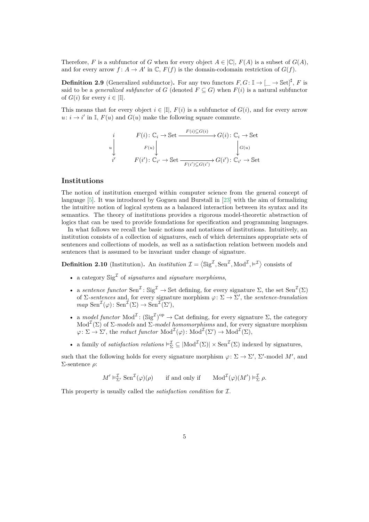Therefore, *F* is a subfunctor of *G* when for every object  $A \in |\mathbb{C}|$ ,  $F(A)$  is a subset of  $G(A)$ , and for every arrow  $f: A \to A'$  in  $\mathbb{C}$ ,  $F(f)$  is the domain-codomain restriction of  $G(f)$ .

**Definition 2.9** (Generalized subfunctor). For any two functors  $F, G: \mathbb{I} \to [\_ \to \mathbb{S}et]^{\sharp}, F$  is said to be a *generalized subfunctor* of *G* (denoted  $F \subseteq G$ ) when  $F(i)$  is a natural subfunctor of  $G(i)$  for every  $i \in |I|$ .

This means that for every object  $i \in [\mathbb{I}], F(i)$  is a subfunctor of  $G(i)$ , and for every arrow  $u: i \to i'$  in I,  $F(u)$  and  $G(u)$  make the following square commute.

$$
\begin{array}{ccc}\ni & F(i): \mathbb{C}_i \to \mathbb{S}\text{et} \xrightarrow{F(i) \subseteq G(i)} G(i): \mathbb{C}_i \to \mathbb{S}\text{et} \\
\downarrow & & F(u) \downarrow \\
i' & F(i'): \mathbb{C}_{i'} \to \mathbb{S}\text{et} \xrightarrow{F(i') \subseteq G(i')} G(i'): \mathbb{C}_{i'} \to \mathbb{S}\text{et}\n\end{array}
$$

### **Institutions**

The notion of institution emerged within computer science from the general concept of language [\[5\]](#page-34-6). It was introduced by Goguen and Burstall in [\[23\]](#page-35-3) with the aim of formalizing the intuitive notion of logical system as a balanced interaction between its syntax and its semantics. The theory of institutions provides a rigorous model-theoretic abstraction of logics that can be used to provide foundations for specification and programming languages.

In what follows we recall the basic notions and notations of institutions. Intuitively, an institution consists of a collection of signatures, each of which determines appropriate sets of sentences and collections of models, as well as a satisfaction relation between models and sentences that is assumed to be invariant under change of signature.

**Definition 2.10** (Institution). An *institution*  $\mathcal{I} = \langle \text{Sig}^{\mathcal{I}}, \text{Sen}^{\mathcal{I}}, \text{Mod}^{\mathcal{I}}, \models^{\mathcal{I}} \rangle$  consists of

- a category  $\text{Sig}^{\mathcal{I}}$  of *signatures* and *signature morphisms*,
- a *sentence functor*  $\text{Sen}^{\mathcal{I}}: \text{Sig}^{\mathcal{I}} \to \text{Set}$  defining, for every signature  $\Sigma$ , the set  $\text{Sen}^{\mathcal{I}}(\Sigma)$ of  $\Sigma$ -sentences and, for every signature morphism  $\varphi: \Sigma \to \Sigma'$ , the *sentence-translation*  $map \operatorname{Sen}^{\mathcal{I}}(\varphi) \colon \operatorname{Sen}^{\mathcal{I}}(\Sigma) \to \operatorname{Sen}^{\mathcal{I}}(\Sigma'),$
- a *model functor*  $\text{Mod}^{\mathcal{I}}: (\text{Sig}^{\mathcal{I}})^{op} \to \mathbb{C}$ at defining, for every signature  $\Sigma$ , the category Mod<sup> $\mathcal{I}(\Sigma)$  of  $\Sigma$ -models and  $\Sigma$ -model homomorphisms and, for every signature morphism</sup>  $\varphi \colon \Sigma \to \Sigma'$ , the *reduct functor*  $\text{Mod}^{\mathcal{I}}(\varphi) \colon \text{Mod}^{\mathcal{I}}(\Sigma') \to \text{Mod}^{\mathcal{I}}(\Sigma)$ ,
- a family of *satisfaction relations*  $\vdash_{\Sigma}^{\mathcal{I}} \subseteq |\text{Mod}^{\mathcal{I}}(\Sigma)| \times \text{Sen}^{\mathcal{I}}(\Sigma)$  indexed by signatures,

such that the following holds for every signature morphism  $\varphi: \Sigma \to \Sigma'$ ,  $\Sigma'$ -model M', and Σ-sentence *ρ*:

 $M' \vDash_{\Sigma'}^{\mathcal{I}} \operatorname{Sen}^{\mathcal{I}}(\varphi)(\rho)$  if and only if  $\operatorname{Mod}^{\mathcal{I}}(\varphi)(M') \vDash_{\Sigma}^{\mathcal{I}} \rho$ .

This property is usually called the *satisfaction condition* for I.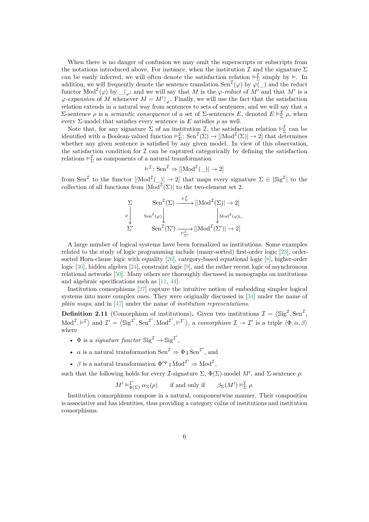When there is no danger of confusion we may omit the superscripts or subscripts from the notations introduced above. For instance, when the institution  $\mathcal I$  and the signature  $\Sigma$ can be easily inferred, we will often denote the satisfaction relation  $\vdash_{\Sigma}^{\mathcal{I}}$  simply by  $\models$ . In addition, we will frequently denote the sentence translation  $\text{Sen}^{\mathcal{I}}(\varphi)$  by  $\varphi(\_)$  and the reduct functor  $\text{Mod}^{\mathcal{I}}(\varphi)$  by  $\bigcup_{\varphi}$ ; and we will say that *M* is the  $\varphi$ -reduct of *M'* and that *M'* is a  $\varphi$ -expansion of M whenever  $M = M' \vert_{\varphi}$ . Finally, we will use the fact that the satisfaction relation extends in a natural way from sentences to sets of sentences, and we will say that a Σ-sentence *ρ* is a *semantic consequence* of a set of Σ-sentences *E*, denoted  $E \vDash^{\mathcal{I}}_{\Sigma} \rho$ , when every  $\Sigma$ -model that satisfies every sentence in *E* satisfies  $\rho$  as well.

Note that, for any signature  $\Sigma$  of an institution  $\mathcal{I}$ , the satisfaction relation  $\models_{\Sigma}^{\mathcal{I}}$  can be identified with a Boolean-valued function  $\vdash_{\Sigma}^{\mathcal{I}}: \text{Sen}^{\mathcal{I}}(\Sigma) \to [|\text{Mod}^{\mathcal{I}}(\Sigma)| \to 2]$  that determines whether any given sentence is satisfied by any given model. In view of this observation, the satisfaction condition for  $\mathcal I$  can be captured categorically by defining the satisfaction relations  $\vDash_{\Sigma}^{\mathcal{I}}$  as components of a natural transformation

$$
\vDash^{\mathcal{I}}: \mathrm{Sen}^{\mathcal{I}} \Rightarrow [[\mathrm{Mod}^{\mathcal{I}}(\underline{\hspace{0.05cm}})] \rightarrow 2]
$$

from Sen<sup>I</sup> to the functor  $\left|\text{Mod}^{\mathcal{I}}(\_)\right| \to 2$  that maps every signature  $\Sigma \in \mathcal{S}$ ig<sup>I</sup> to the collection of all functions from  $|\text{Mod}^{\mathcal{I}}(\Sigma)|$  to the two-element set 2.

$$
\Sigma \downarrow \text{Sen}^{\mathcal{I}}(\Sigma) \xrightarrow{\models_{\Sigma}^{\mathcal{I}}} [\text{Mod}^{\mathcal{I}}(\Sigma)] \to 2] \downarrow \downarrow \text{Mod}^{\mathcal{I}}(\varphi)_{\mathcal{I}}
$$
\n
$$
\Sigma' \downarrow \text{Sen}^{\mathcal{I}}(\varphi') \downarrow \downarrow \downarrow \text{Mod}^{\mathcal{I}}(\varphi)_{\mathcal{I}}
$$

A large number of logical systems have been formalized as institutions. Some examples related to the study of logic programming include (many-sorted) first-order logic [\[23\]](#page-35-3), ordersorted Horn-clause logic with equality [\[26\]](#page-36-7), category-based equational logic [\[8\]](#page-34-1), higher-order logic [\[36\]](#page-36-8), hidden algebra [\[24\]](#page-35-1), constraint logic [\[9\]](#page-34-2), and the rather recent logic of asynchronous relational networks [\[50\]](#page-37-1). Many others are thoroughly discussed in monographs on institutions and algebraic specifications such as [\[11,](#page-35-6) [44\]](#page-37-6).

Institution comorphisms [\[27\]](#page-36-9) capture the intuitive notion of embedding simpler logical systems into more complex ones. They were originally discussed in [\[34\]](#page-36-4) under the name of *plain maps*, and in [\[47\]](#page-37-7) under the name of *institution representations*.

**Definition 2.11** (Comorphism of institutions). Given two institutions  $\mathcal{I} = \langle \text{Sig}^{\mathcal{I}}, \text{Sen}^{\mathcal{I}}, \text{Sen}^{\mathcal{I}} \rangle$  $Mod^{\mathcal{I}}, \models^{\mathcal{I}}$  and  $\mathcal{I}' = \langle \text{Sig}^{\mathcal{I}'}, \text{Sen}^{\mathcal{I}'}, \text{Mod}^{\mathcal{I}'}, \models^{\mathcal{I}'}\rangle$ , a *comorphism*  $\mathcal{I} \to \mathcal{I}'$  is a triple  $\langle \Phi, \alpha, \beta \rangle$ where

- $\Phi$  is a *signature functor*  $\text{Sig}^{\mathcal{I}} \to \text{Sig}^{\mathcal{I}'},$
- $\alpha$  is a natural transformation  $\text{Sen}^{\mathcal{I}} \Rightarrow \Phi$ ;  $\text{Sen}^{\mathcal{I}'},$  and
- $\beta$  is a natural transformation  $\Phi^{\rm op}$  ;  $\text{Mod}^{\mathcal{I}'} \Rightarrow \text{Mod}^{\mathcal{I}}$ ,

such that the following holds for every *L*-signature  $\Sigma$ ,  $\Phi(\Sigma)$ -model *M'*, and *Σ*-sentence *ρ*:

$$
M' \vDash^{\mathcal{I}'}_{\Phi(\Sigma)} \alpha_{\Sigma}(\rho) \quad \text{if and only if} \quad \beta_{\Sigma}(M') \vDash^{\mathcal{I}}_{\Sigma} \rho.
$$

Institution comorphisms compose in a natural, componentwise manner. Their composition is associative and has identities, thus providing a category coIns of institutions and institution comorphisms.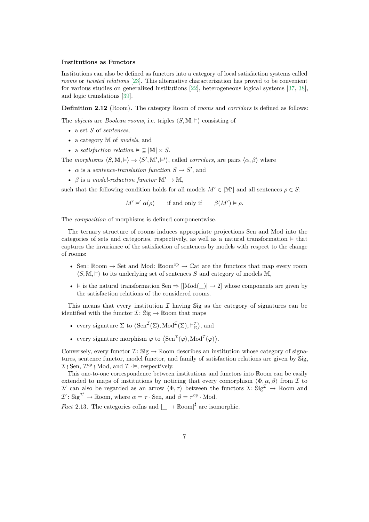#### **Institutions as Functors**

Institutions can also be defined as functors into a category of local satisfaction systems called *rooms* or *twisted relations* [\[23\]](#page-35-3). This alternative characterization has proved to be convenient for various studies on generalized institutions [\[22\]](#page-35-7), heterogeneous logical systems [\[37,](#page-36-10) [38\]](#page-36-11), and logic translations [\[39\]](#page-37-8).

**Definition 2.12** (Room)**.** The category Room of *rooms* and *corridors* is defined as follows:

The *objects* are *Boolean rooms*, i.e. triples  $\langle S, \mathbb{M}, \vDash \rangle$  consisting of

- a set *S* of *sentences*,
- a category M of *models*, and
- a *satisfaction relation*  $\models \subseteq |M| \times S$ .

The *morphisms*  $\langle S, M \rangle \models \rangle \rightarrow \langle S', M', \models' \rangle$ , called *corridors*, are pairs  $\langle \alpha, \beta \rangle$  where

- $\alpha$  is a *sentence-translation function*  $S \to S'$ , and
- $\beta$  is a *model-reduction functor*  $\mathbb{M}' \to \mathbb{M}$ ,

such that the following condition holds for all models  $M' \in |\mathbb{M}'|$  and all sentences  $\rho \in S$ :

 $M' \models' \alpha(\rho)$  $\alpha(\rho)$  if and only if  $\beta(M') \models \rho$ .

The *composition* of morphisms is defined componentwise.

The ternary structure of rooms induces appropriate projections Sen and Mod into the categories of sets and categories, respectively, as well as a natural transformation  $\models$  that captures the invariance of the satisfaction of sentences by models with respect to the change of rooms:

- Sen: Room  $\rightarrow$  Set and Mod: Room<sup>op</sup>  $\rightarrow$  Cat are the functors that map every room  $\langle S, \mathbb{M}, \vDash \rangle$  to its underlying set of sentences *S* and category of models M,
- $\models$  is the natural transformation Sen  $\Rightarrow$   $\vert$ [Mod( $\vert$ )  $\rightarrow$  2] whose components are given by the satisfaction relations of the considered rooms.

This means that every institution  $\mathcal I$  having Sig as the category of signatures can be identified with the functor  $\mathcal{I}: \mathbb{S}ig \to \mathbb{R}$ oom that maps

- every signature  $\Sigma$  to  $\langle \text{Sen}^{\mathcal{I}}(\Sigma), \text{Mod}^{\mathcal{I}}(\Sigma), \vDash_{\Sigma}^{\mathcal{I}} \rangle$ , and
- every signature morphism  $\varphi$  to  $\langle \operatorname{Sen}^{\mathcal{I}}(\varphi), \operatorname{Mod}^{\mathcal{I}}(\varphi) \rangle$ .

Conversely, every functor  $\mathcal{I}: \mathbb{S}ig \to \mathbb{R}$ oom describes an institution whose category of signatures, sentence functor, model functor, and family of satisfaction relations are given by Sig,  $\mathcal{I} \, \S$  Sen,  $\mathcal{I}^{\mathrm{op}} \, \S$  Mod, and  $\mathcal{I} \cdot \vDash$ , respectively.

This one-to-one correspondence between institutions and functors into Room can be easily extended to maps of institutions by noticing that every comorphism  $\langle \Phi, \alpha, \beta \rangle$  from I to  $\mathcal{I}'$  can also be regarded as an arrow  $\langle \Phi, \tau \rangle$  between the functors  $\mathcal{I} \colon \mathbb{S}ig^{\mathcal{I}} \to \mathbb{R}$ oom and  $\mathcal{I}' : \text{Sig}^{\mathcal{I}'} \to \mathbb{R}$ oom, where  $\alpha = \tau \cdot \text{Sen}$ , and  $\beta = \tau^{\text{op}} \cdot \text{Mod}$ .

*Fact* 2.13. The categories collns and  $\left[\right] \to \mathbb{R}$ oom $\left| \right|^{\sharp}$  are isomorphic.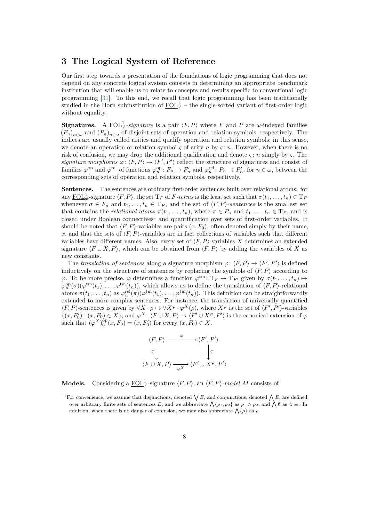# <span id="page-7-0"></span>**3 The Logical System of Reference**

Our first step towards a presentation of the foundations of logic programming that does not depend on any concrete logical system consists in determining an appropriate benchmark institution that will enable us to relate to concepts and results specific to conventional logic programming [\[31\]](#page-36-3). To this end, we recall that logic programming has been traditionally studied in the Horn subinstitution of  $\underline{\text{FOL}}_{\neq}^1$  – the single-sorted variant of first-order logic without equality.

**Signatures.** A  $\underline{FOL}^1_{\neq}$ -signature is a pair  $\langle F, P \rangle$  where *F* and *P* are *ω*-indexed families  $(F_n)_{n\in\omega}$  and  $(F_n)_{n\in\omega}$  of disjoint sets of operation and relation symbols, respectively. The indices are usually called arities and qualify operation and relation symbols; in this sense, we denote an operation or relation symbol  $\varsigma$  of arity *n* by  $\varsigma$ : *n*. However, when there is no risk of confusion, we may drop the additional qualification and denote *ς* : *n* simply by *ς*. The *signature morphisms*  $\varphi: \langle F, P \rangle \to \langle F', P' \rangle$  reflect the structure of signatures and consist of families  $\varphi^{\text{op}}$  and  $\varphi^{\text{rel}}$  of functions  $\varphi^{\text{op}}_n : F_n \to F'_n$  and  $\varphi^{\text{rel}}_n : P_n \to P'_n$ , for  $n \in \omega$ , between the corresponding sets of operation and relation symbols, respectively.

**Sentences.** The sentences are ordinary first-order sentences built over relational atoms: for any  $\underline{FOL}^1_{\neq}$ -signature  $\langle F, P \rangle$ , the set  $T_F$  of *F*-terms is the least set such that  $\sigma(t_1, \ldots, t_n) \in T_F$ whenever  $\sigma \in F_n$  and  $t_1, \ldots, t_n \in T_F$ , and the set of  $\langle F, P \rangle$ -sentences is the smallest set that contains the *relational atoms*  $\pi(t_1, \ldots, t_n)$ , where  $\pi \in P_n$  and  $t_1, \ldots, t_n \in T_F$ , and is closed under Boolean connectives<sup>[1](#page-7-1)</sup> and quantification over sets of first-order variables. It should be noted that  $\langle F, P \rangle$ -variables are pairs  $(x, F_0)$ , often denoted simply by their name, x, and that the sets of  $\langle F, P \rangle$ -variables are in fact collections of variables such that different variables have different names. Also, every set of  $\langle F, P \rangle$ -variables X determines an extended signature  $\langle F \cup X, P \rangle$ , which can be obtained from  $\langle F, P \rangle$  by adding the variables of *X* as new constants.

The *translation of sentences* along a signature morphism  $\varphi$ :  $\langle F, P \rangle \to \langle F', P' \rangle$  is defined inductively on the structure of sentences by replacing the symbols of  $\langle F, P \rangle$  according to  $\varphi$ . To be more precise,  $\varphi$  determines a function  $\varphi$ <sup>tm</sup>:  $T_F \to T_{F'}$  given by  $\sigma(t_1, \ldots, t_n) \mapsto$  $\varphi_n^{\rm op}(\sigma)(\varphi^{\rm tm}(t_1), \ldots, \varphi^{\rm tm}(t_n)),$  which allows us to define the translation of  $\langle F, P \rangle$ -relational atoms  $\pi(t_1,\ldots,t_n)$  as  $\varphi_n^{\text{rel}}(\pi)(\varphi^{\text{tm}}(t_1),\ldots,\varphi^{\text{tm}}(t_n))$ . This definition can be straightforwardly extended to more complex sentences. For instance, the translation of universally quantified  $\langle F, P \rangle$ -sentences is given by  $\forall X \cdot \rho \mapsto \forall X^{\varphi} \cdot \varphi^X(\rho)$ , where  $X^{\varphi}$  is the set of  $\langle F', P' \rangle$ -variables  $\{(x, F_0') \mid (x, F_0) \in X\}$ , and  $\varphi^X : \langle F \cup X, P \rangle \to \langle F' \cup X^\varphi, P' \rangle$  is the canonical extension of  $\varphi$ such that  $(\varphi^X)_0^{\text{op}}(x, F_0) = (x, F'_0)$  for every  $(x, F_0) \in X$ .

$$
\langle F, P \rangle \xrightarrow{\varphi} \langle F', P' \rangle
$$
  
\n
$$
\subseteq \bigcup_{\langle F \cup X, P \rangle} \xrightarrow{\varphi} \langle F' \cup X^{\varphi}, P' \rangle
$$

**Models.** Considering a  $\underline{FOL}^1_{\neq}$ -signature  $\langle F, P \rangle$ , an  $\langle F, P \rangle$ -model *M* consists of

<span id="page-7-1"></span><sup>&</sup>lt;sup>1</sup>For convenience, we assume that disjunctions, denoted  $\bigvee E$ , and conjunctions, denoted  $\bigwedge E$ , are defined over arbitrary finite sets of sentences E, and we abbreviate  $\Lambda\{\rho_1, \rho_2\}$  as  $\rho_1 \wedge \rho_2$ , and  $\Lambda\emptyset$  as *true*. In addition, when there is no danger of confusion, we may also abbreviate  $\bigwedge \{\rho\}$  as  $\rho$ .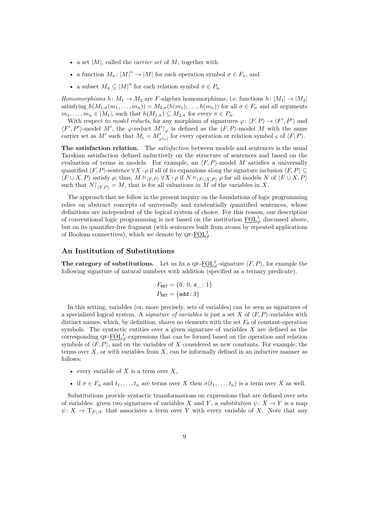- a set |*M*|, called the *carrier set* of *M*, together with
- a function  $M_{\sigma}: |M|^n \to |M|$  for each operation symbol  $\sigma \in F_n$ , and
- a subset  $M_{\pi} \subseteq |M|^n$  for each relation symbol  $\pi \in P_n$ .

*Homomorphisms*  $h: M_1 \to M_2$  are *F*-algebra homomorphisms, i.e. functions  $h: |M_1| \to |M_2|$ satisfying  $h(M_{1,\sigma}(m_1,\ldots,m_n)) = M_{2,\sigma}(h(m_1),\ldots,h(m_n))$  for all  $\sigma \in F_n$  and all arguments  $m_1, \ldots, m_n \in |M_1|$ , such that  $h(M_{1,\pi}) \subseteq M_{2,\pi}$  for every  $\pi \in P_n$ .

With respect to *model reducts*, for any morphism of signatures  $\varphi$ :  $\langle F, P \rangle \to \langle F', P' \rangle$  and  $\langle F', P' \rangle$ -model *M'*, the  $\varphi$ -reduct *M'*|<sub> $\varphi$ </sub> is defined as the  $\langle F, P \rangle$ -model *M* with the same carrier set as *M'* such that  $M_{\varsigma} = M'_{\varphi(\varsigma)}$  for every operation or relation symbol  $\varsigma$  of  $\langle F, P \rangle$ .

**The satisfaction relation.** The *satisfaction* between models and sentences is the usual Tarskian satisfaction defined inductively on the structure of sentences and based on the evaluation of terms in models. For example, an  $\langle F, P \rangle$ -model *M* satisfies a universally quantified  $\langle F, P \rangle$ -sentence  $\forall X \cdot \rho$  if all of its expansions along the signature inclusion  $\langle F, P \rangle \subseteq$  $\langle F \cup X, P \rangle$  satisfy  $\rho$ ; thus,  $M \models_{\langle F, P \rangle} \forall X \cdot \rho$  if  $N \models_{\langle F \cup X, P \rangle} \rho$  for all models  $N$  of  $\langle F \cup X, P \rangle$ such that  $N|_{\langle F,P \rangle} = M$ , that is for all valuations in *M* of the variables in *X*.

The approach that we follow in the present inquiry on the foundations of logic programming relies on abstract concepts of universally and existentially quantified sentences, whose definitions are independent of the logical system of choice. For this reason, our description of conventional logic programming is not based on the institution  $\underline{\mathrm{FOL}}_{\neq}^{1}$  discussed above, but on its quantifier-free fragment (with sentences built from atoms by repeated applications of Boolean connectives), which we denote by  $\mathbf{Q} \mathbf{F} \text{-} \underline{\mathbf{FOL}}^1_{\neq}$ .

## **An Institution of Substitutions**

**The category of substitutions.** Let us fix a  $\mathsf{QF}\text{-}\underline{\mathrm{FOL}}_{\neq}^1$ -signature  $\langle F, P \rangle$ , for example the following signature of natural numbers with addition (specified as a ternary predicate).

$$
F_{\text{NAT}} = \{0: 0, s \_ : 1\}
$$
  

$$
P_{\text{NAT}} = \{\text{add}: 3\}
$$

In this setting, variables (or, more precisely, sets of variables) can be seen as signatures of a specialized logical system. A *signature of variables* is just a set X of  $\langle F, P \rangle$ -variables with distinct names, which, by definition, shares no elements with the set  $F_0$  of constant-operation symbols. The syntactic entities over a given signature of variables *X* are defined as the corresponding  $\mathsf{QF}\text{-}\underline{\mathrm{FOL}}^1_{\neq}$ -expressions that can be formed based on the operation and relation symbols of  $\langle F, P \rangle$ , and on the variables of *X* considered as new constants. For example, the terms over *X*, or with variables from *X*, can be informally defined in an inductive manner as follows:

- every variable of *X* is a term over *X*,
- if  $\sigma \in F_n$  and  $t_1, \ldots, t_n$  are terms over *X* then  $\sigma(t_1, \ldots, t_n)$  is a term over *X* as well.

Substitutions provide syntactic transformations on expressions that are defined over sets of variables: given two signatures of variables *X* and *Y*, a *substitution*  $\psi: X \to Y$  is a map  $\psi: X \to T_{F \cup Y}$  that associates a term over *Y* with every variable of *X*. Note that any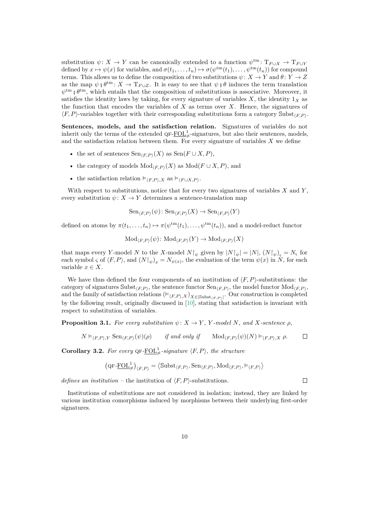substitution  $\psi \colon X \to Y$  can be canonically extended to a function  $\psi^{\text{tm}} \colon T_{F \cup X} \to T_{F \cup Y}$ defined by  $x \mapsto \psi(x)$  for variables, and  $\sigma(t_1, \ldots, t_n) \mapsto \sigma(\psi^{\text{tm}}(t_1), \ldots, \psi^{\text{tm}}(t_n))$  for compound terms. This allows us to define the composition of two substitutions  $\psi: X \to Y$  and  $\theta: Y \to Z$ as the map  $\psi \circ \theta^{\text{tm}}$ :  $X \to T_{F \cup Z}$ . It is easy to see that  $\psi \circ \theta$  induces the term translation  $\psi^{\text{tm}}$ , which entails that the composition of substitutions is associative. Moreover, it satisfies the identity laws by taking, for every signature of variables  $X$ , the identity  $1_X$  as the function that encodes the variables of *X* as terms over *X*. Hence, the signatures of  $\langle F, P \rangle$ -variables together with their corresponding substitutions form a category Subst<sub> $\langle F, P \rangle$ .</sub>

**Sentences, models, and the satisfaction relation.** Signatures of variables do not inherit only the terms of the extended  $\mathbf{QF}\text{-}\underline{\mathbf{FOL}}_{\neq}^{1}$ -signatures, but also their sentences, models, and the satisfaction relation between them. For every signature of variables  $X$  we define

- the set of sentences  $\text{Sen}_{\langle F,P \rangle}(X)$  as  $\text{Sen}(F \cup X, P)$ ,
- the category of models  $Mod_{\langle F,P \rangle}(X)$  as  $Mod(F \cup X, P)$ , and
- the satisfaction relation  $\models_{\langle F, P \rangle, X}$  as  $\models_{\langle F \cup X, P \rangle}$ .

With respect to substitutions, notice that for every two signatures of variables *X* and *Y* , every substitution  $\psi: X \to Y$  determines a sentence-translation map

 $\text{Sen}_{\langle F,P\rangle}(\psi)$ :  $\text{Sen}_{\langle F,P\rangle}(X) \to \text{Sen}_{\langle F,P\rangle}(Y)$ 

defined on atoms by  $\pi(t_1,\ldots,t_n) \mapsto \pi(\psi^{\text{tm}}(t_1),\ldots,\psi^{\text{tm}}(t_n))$ , and a model-reduct functor

$$
\mathrm{Mod}_{\langle F, P \rangle}(\psi) \colon \mathrm{Mod}_{\langle F, P \rangle}(Y) \to \mathrm{Mod}_{\langle F, P \rangle}(X)
$$

that maps every *Y*-model *N* to the *X*-model  $N|\psi$  given by  $|N|\psi| = |N|$ ,  $(N|\psi)_{\varsigma} = N_{\varsigma}$  for each symbol *ς* of  $\langle F, P \rangle$ , and  $(N{\upharpoonright}_{\psi})_x = N_{\psi(x)}$ , the evaluation of the term  $\psi(x)$  in N, for each variable  $x \in X$ .

We have thus defined the four components of an institution of  $\langle F, P \rangle$ -substitutions: the category of signatures  $\text{Subst}_{\langle F, P \rangle}$ , the sentence functor  $\text{Sen}_{\langle F, P \rangle}$ , the model functor  $\text{Mod}_{\langle F, P \rangle}$ , and the family of satisfaction relations  $(\vDash_{\langle F, P \rangle, X})_{X \in |\text{Subst}_{\langle F, P \rangle}|}$ . Our construction is completed by the following result, originally discussed in [\[10\]](#page-34-3), stating that satisfaction is invariant with respect to substitution of variables.

**Proposition 3.1.** *For every substitution*  $\psi: X \to Y$ *, Y*-model *N, and X*-sentence  $\rho$ *,* 

$$
N \vDash_{\langle F, P \rangle, Y} \text{Sen}_{\langle F, P \rangle}(\psi)(\rho) \qquad \text{if and only if} \qquad \text{Mod}_{\langle F, P \rangle}(\psi)(N) \vDash_{\langle F, P \rangle, X} \rho.
$$

 $\Box$ 

<span id="page-9-0"></span>**Corollary 3.2.** For every  $QF$ - $\underline{FOL}^1_{\neq}$ -signature  $\langle F, P \rangle$ , the structure

$$
\left(\text{QF-}\underline{\mathrm{FOL}}_{\neq}^{1}\right)_{\langle F, P \rangle} = \left\langle \mathrm{Subst}_{\langle F, P \rangle}, \mathrm{Sen}_{\langle F, P \rangle}, \mathrm{Mod}_{\langle F, P \rangle}, \vDash_{\langle F, P \rangle} \right\rangle
$$

*defines an institution –* the institution of  $\langle F, P \rangle$ -substitutions.

Institutions of substitutions are not considered in isolation; instead, they are linked by various institution comorphisms induced by morphisms between their underlying first-order signatures.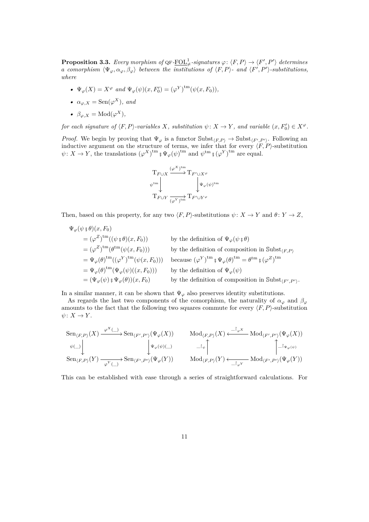<span id="page-10-0"></span>**Proposition 3.3.** Every morphism of  $\mathrm{QF}\text{-}\underline{\mathrm{FOL}}^1_+$ -signatures  $\varphi\colon \langle F, P \rangle \to \langle F', P' \rangle$  determines *a comorphism*  $\langle \Psi_{\varphi}, \alpha_{\varphi}, \beta_{\varphi} \rangle$  between the institutions of  $\langle F, P \rangle$ - and  $\langle F', P' \rangle$ -substitutions, *where*

- $\Psi_{\varphi}(X) = X^{\varphi}$  *and*  $\Psi_{\varphi}(\psi)(x, F'_{0}) = (\varphi^{Y})^{\text{tm}}(\psi(x, F_{0})),$
- $\alpha_{\varphi,X} = \text{Sen}(\varphi^X)$ *, and*
- $\beta_{\varphi,X} = \text{Mod}(\varphi^X),$

*for each signature of*  $\langle F, P \rangle$ -variables *X, substitution*  $\psi \colon X \to Y$ *, and variable*  $(x, F_0') \in X^{\varphi}$ *.* 

*Proof.* We begin by proving that  $\Psi_{\varphi}$  is a functor  $\text{Subst}_{\langle F, P \rangle} \to \text{Subst}_{\langle F', P' \rangle}$ . Following an inductive argument on the structure of terms, we infer that for every  $\langle F, P \rangle$ -substitution  $\psi: X \to Y$ , the translations  $(\varphi^X)^{\text{tm}}$   $\psi^{\psi}(\psi)^{\text{tm}}$  and  $\psi^{\text{tm}}$   $\psi^{\psi}(\varphi^Y)^{\text{tm}}$  are equal.



Then, based on this property, for any two  $\langle F, P \rangle$ -substitutions  $\psi \colon X \to Y$  and  $\theta \colon Y \to Z$ ,

$$
\Psi_{\varphi}(\psi \circ \theta)(x, F_0)
$$
\n
$$
= (\varphi^Z)^{\text{tm}}((\psi \circ \theta)(x, F_0))
$$
\nby the definition of  $\Psi_{\varphi}(\psi \circ \theta)$   
\n
$$
= (\varphi^Z)^{\text{tm}}(\theta^{\text{tm}}(\psi(x, F_0)))
$$
\nby the definition of composition in  $\text{Subst}_{\langle F, P \rangle}$   
\n
$$
= \Psi_{\varphi}(\theta)^{\text{tm}}((\varphi^Y)^{\text{tm}}(\psi(x, F_0)))
$$
\nbecause  $({\varphi^Y})^{\text{tm}} \circ \Psi_{\varphi}(\theta)^{\text{tm}} = \theta^{\text{tm}} \circ (\varphi^Z)^{\text{tm}}$   
\n
$$
= \Psi_{\varphi}(\theta)^{\text{tm}}(\Psi_{\varphi}(\psi)((x, F_0)))
$$
\nby the definition of  $\Psi_{\varphi}(\psi)$   
\n
$$
= (\Psi_{\varphi}(\psi) \circ \Psi_{\varphi}(\theta))(x, F_0)
$$
\nby the definition of composition in  $\text{Subst}_{\langle F', P' \rangle}$ .

In a similar manner, it can be shown that  $\Psi_{\varphi}$  also preserves identity substitutions.

As regards the last two components of the comorphism, the naturality of  $\alpha_{\varphi}$  and  $\beta_{\varphi}$ amounts to the fact that the following two squares commute for every  $\langle F, P \rangle$ -substitution  $\psi: X \to Y$ .

$$
\operatorname{Sen}_{\langle F, P \rangle}(X) \xrightarrow{\varphi^{X}(\_)} \operatorname{Sen}_{\langle F', P' \rangle}(\Psi_{\varphi}(X)) \qquad \operatorname{Mod}_{\langle F, P \rangle}(X) \xleftarrow{\square_{\varphi^{X}}} \operatorname{Mod}_{\langle F', P' \rangle}(\Psi_{\varphi}(X))
$$
  
\n
$$
\downarrow \Psi_{\varphi}(\psi)(\_) \qquad \qquad \square_{\psi} \uparrow \qquad \qquad \square_{\varphi^{Y}(\bot)} \qquad \qquad \square_{\varphi^{Y}(\psi)} \qquad \qquad \square_{\varphi^{Y}(\bot)} \qquad \qquad \square_{\varphi^{Y}(\bot)} \qquad \qquad \square_{\varphi^{Y}(\bot)} \qquad \qquad \square_{\varphi^{Y}(\bot)} \qquad \qquad \square_{\varphi^{Y}(\bot)} \qquad \qquad \square_{\varphi^{Y}(\bot)} \qquad \qquad \square_{\varphi^{Y}(\bot)} \qquad \qquad \square_{\varphi^{Y}(\bot)} \qquad \qquad \square_{\varphi^{Y}(\bot)} \qquad \qquad \square_{\varphi^{Y}(\bot)} \qquad \qquad \square_{\varphi^{Y}(\bot)} \qquad \qquad \square_{\varphi^{Y}(\bot)} \qquad \qquad \square_{\varphi^{Y}(\bot)} \qquad \qquad \square_{\varphi^{Y}(\bot)} \qquad \qquad \square_{\varphi^{Y}(\bot)} \qquad \qquad \square_{\varphi^{Y}(\bot)} \qquad \qquad \square_{\varphi^{Y}(\bot)} \qquad \qquad \square_{\varphi^{Y}(\bot)} \qquad \qquad \square_{\varphi^{Y}(\bot)} \qquad \qquad \square_{\varphi^{Y}(\bot)} \qquad \qquad \square_{\varphi^{Y}(\bot)} \qquad \qquad \square_{\varphi^{Y}(\bot)} \qquad \qquad \square_{\varphi^{Y}(\bot)} \qquad \qquad \square_{\varphi^{Y}(\bot)} \qquad \qquad \square_{\varphi^{Y}(\bot)} \qquad \qquad \square_{\varphi^{Y}(\bot)} \qquad \qquad \square_{\varphi^{Y}(\bot)} \qquad \qquad \square_{\varphi^{Y}(\bot)} \qquad \qquad \square_{\varphi^{Y}(\bot)} \qquad \qquad \square_{\varphi^{Y}(\bot)} \qquad \qquad \square_{\varphi^{Y}(\bot)} \qquad \qquad \square_{\varphi^{Y}(\bot
$$

This can be established with ease through a series of straightforward calculations. For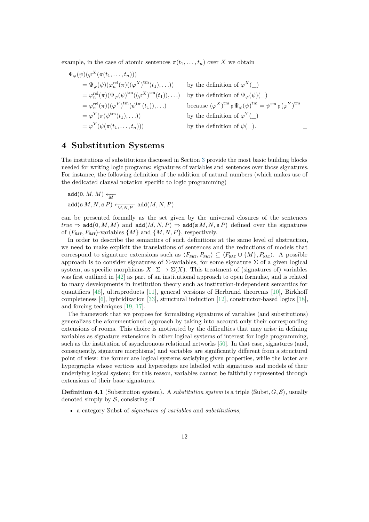example, in the case of atomic sentences  $\pi(t_1, \ldots, t_n)$  over *X* we obtain

$$
\Psi_{\varphi}(\psi)(\varphi^{X}(\pi(t_{1},...,t_{n})))
$$
\n
$$
= \Psi_{\varphi}(\psi)(\varphi_{n}^{\text{rel}}(\pi)((\varphi^{X})^{\text{tm}}(t_{1}),...))
$$
\nby the definition of  $\varphi^{X}(\_)$ \n
$$
= \varphi_{n}^{\text{rel}}(\pi)(\Psi_{\varphi}(\psi)^{\text{tm}}((\varphi^{X})^{\text{tm}}(t_{1})),...)
$$
\nby the definition of  $\Psi_{\varphi}(\psi)(\_)$ \n
$$
= \varphi_{n}^{\text{rel}}(\pi)((\varphi^{Y})^{\text{tm}}(\psi^{\text{tm}}(t_{1})),...)
$$
\nbecause  $(\varphi^{X})^{\text{tm}} \circ \Psi_{\varphi}(\psi)^{\text{tm}} = \psi^{\text{tm}} \circ (\varphi^{Y})^{\text{tm}}$ \n
$$
= \varphi^{Y}(\pi(\psi^{\text{tm}}(t_{1}),...))
$$
\nby the definition of  $\varphi^{Y}(\_)$ \n
$$
= \varphi^{Y}(\psi(\pi(t_{1},...,t_{n})))
$$
\nby the definition of  $\psi(\_)$ .

## <span id="page-11-0"></span>**4 Substitution Systems**

The institutions of substitutions discussed in Section [3](#page-7-0) provide the most basic building blocks needed for writing logic programs: signatures of variables and sentences over those signatures. For instance, the following definition of the addition of natural numbers (which makes use of the dedicated clausal notation specific to logic programming)

$$
\begin{aligned} &\texttt{add}(0,M,M) \xleftarrow[M]{\hspace{0.5cm}}\\ &\texttt{add}(\textbf{s}\,M,N,\textbf{s}\,P) \xleftarrow[M,N,P)\texttt{add}(M,N,P) \end{aligned}
$$

can be presented formally as the set given by the universal closures of the sentences  $true \Rightarrow \text{add}(0, M, M)$  and  $\text{add}(M, N, P) \Rightarrow \text{add}(s, M, N, s, P)$  defined over the signatures of  $\langle F_{\text{NAT}}, P_{\text{NAT}} \rangle$ -variables  $\{M\}$  and  $\{M, N, P\}$ , respectively.

In order to describe the semantics of such definitions at the same level of abstraction, we need to make explicit the translations of sentences and the reductions of models that correspond to signature extensions such as  $\langle F_{\text{NAT}}, P_{\text{NAT}} \rangle \subseteq \langle F_{\text{NAT}} \cup \{M\}, P_{\text{NAT}} \rangle$ . A possible approach is to consider signatures of  $\Sigma$ -variables, for some signature  $\Sigma$  of a given logical system, as specific morphisms  $X \colon \Sigma \to \Sigma(X)$ . This treatment of (signatures of) variables was first outlined in [\[42\]](#page-37-9) as part of an institutional approach to open formulae, and is related to many developments in institution theory such as institution-independent semantics for quantifiers [\[46\]](#page-37-2), ultraproducts [\[11\]](#page-35-6), general versions of Herbrand theorems [\[10\]](#page-34-3), Birkhoff completeness [\[6\]](#page-34-7), hybridization [\[33\]](#page-36-12), structural induction [\[12\]](#page-35-8), constructor-based logics [\[18\]](#page-35-9), and forcing techniques [\[19,](#page-35-10) [17\]](#page-35-11).

The framework that we propose for formalizing signatures of variables (and substitutions) generalizes the aforementioned approach by taking into account only their corresponding extensions of rooms. This choice is motivated by the difficulties that may arise in defining variables as signature extensions in other logical systems of interest for logic programming, such as the institution of asynchronous relational networks [\[50\]](#page-37-1). In that case, signatures (and, consequently, signature morphisms) and variables are significantly different from a structural point of view: the former are logical systems satisfying given properties, while the latter are hypergraphs whose vertices and hyperedges are labelled with signatures and models of their underlying logical system; for this reason, variables cannot be faithfully represented through extensions of their base signatures.

**Definition 4.1** (Substitution system). A *substitution system* is a triple  $\langle \text{Subst}, G, S \rangle$ , usually denoted simply by  $S$ , consisting of

• a category Subst of *signatures of variables* and *substitutions*,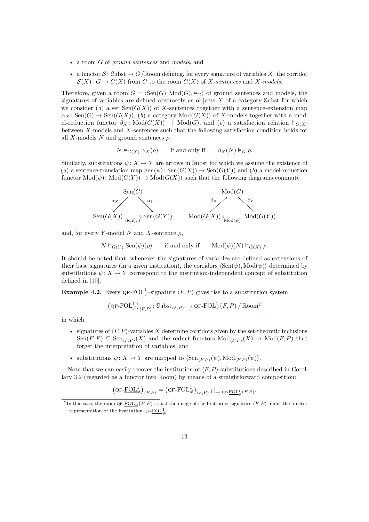- a room *G* of *ground sentences* and *models*, and
- a functor  $S:$  Subst  $\rightarrow G/\mathbb{R}$ oom defining, for every signature of variables X, the corridor  $\mathcal{S}(X): G \to G(X)$  from *G* to the room  $G(X)$  of *X-sentences* and *X-models*.

Therefore, given a room  $G = \langle \text{Sen}(G), \text{Mod}(G), \vDash_G \rangle$  of ground sentences and models, the signatures of variables are defined abstractly as objects *X* of a category Subst for which we consider  $(a)$  a set  $\text{Sen}(G(X))$  of X-sentences together with a sentence-extension map  $\alpha_X$ : Sen(*G*)  $\rightarrow$  Sen(*G*(*X*)), (*b*) a category Mod(*G*(*X*)) of *X*-models together with a model-reduction functor  $\beta_X \colon \text{Mod}(G(X)) \to \text{Mod}(G)$ , and (*c*) a satisfaction relation  $\models_{G(X)}$ between *X*-models and *X*-sentences such that the following satisfaction condition holds for all *X*-models *N* and ground sentences *ρ*:

$$
N \vDash_{G(X)} \alpha_X(\rho)
$$
 if and only if  $\beta_X(N) \vDash_G \rho$ .

Similarly, substitutions  $\psi: X \to Y$  are arrows in Subst for which we assume the existence of (*a*) a sentence-translation map  $\text{Sen}(\psi)$ :  $\text{Sen}(G(X)) \to \text{Sen}(G(Y))$  and (*b*) a model-reduction functor  $Mod(\psi)$ :  $Mod(G(Y)) \rightarrow Mod(G(X))$  such that the following diagrams commute



and, for every *Y*-model *N* and *X*-sentence  $\rho$ ,

 $N \vDash_{G(Y)} \text{Sen}(\psi)(\rho)$  if and only if  $\text{Mod}(\psi)(N) \vDash_{G(X)} \rho$ .

It should be noted that, whenever the signatures of variables are defined as extensions of their base signatures (in a given institution), the corridors  $\langle Sen(\psi), Mod(\psi) \rangle$  determined by substitutions  $\psi: X \to Y$  correspond to the institution-independent concept of substitution defined in [\[10\]](#page-34-3).

**Example 4.2.** Every QF- $\underline{FOL}^1_{\neq}$ -signature  $\langle F, P \rangle$  gives rise to a substitution system

$$
\left(\text{QF-FOL}^1_{\neq}\right)_{\langle F,P \rangle} : \text{Subst}_{\langle F,P \rangle} \to \text{QF-FOL}^1_{\neq}(F,P) / \text{Room}^2
$$

in which

- signatures of  $\langle F, P \rangle$ -variables *X* determine corridors given by the set-theoretic inclusions  $\text{Sen}(F, P) \subseteq \text{Sen}_{(F, P)}(X)$  and the reduct functors  $\text{Mod}_{(F, P)}(X) \to \text{Mod}(F, P)$  that forget the interpretation of variables, and
- substitutions  $\psi: X \to Y$  are mapped to  $\langle \text{Sen}_{\langle F,P \rangle}(\psi), \text{Mod}_{\langle F,P \rangle}(\psi) \rangle$ .

Note that we can easily recover the institution of  $\langle F, P \rangle$ -substitutions described in Corollary [3.2](#page-9-0) (regarded as a functor into Room) by means of a straightforward composition:

$$
\left(\text{QF-}\underline{\text{FOL}}_{\neq}^{1}\right)_{\langle F, P \rangle} = \left(\text{QF-}\text{FOL}_{\neq}^{1}\right)_{\langle F, P \rangle} \text{ s } \left|\bigcup_{\text{QF-}\underline{\text{FOL}}_{\neq}^{1}(F, P)}.
$$

<span id="page-12-0"></span><sup>&</sup>lt;sup>2</sup>In this case, the room QF- $\underline{FOL}^1_{\neq}(F, P)$  is just the image of the first-order signature  $\langle F, P \rangle$  under the functor representation of the institution  $\mathbb{Q}F-\underline{\mathrm{FOL}}_{\neq}^{1}$ .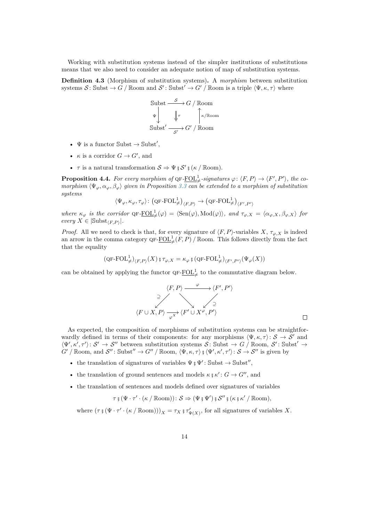Working with substitution systems instead of the simpler institutions of substitutions means that we also need to consider an adequate notion of map of substitution systems.

**Definition 4.3** (Morphism of substitution systems)**.** A *morphism* between substitution systems  $S:$  Subst  $\rightarrow G / \mathbb{R}$ oom and  $S':$  Subst' $\rightarrow G' / \mathbb{R}$ oom is a triple  $\langle \Psi, \kappa, \tau \rangle$  where

Subst 
$$
\xrightarrow{S} G / \text{Room}
$$
  
\n $\Psi$   
\nSubst'  $\xrightarrow{S'} G' / \text{Room}$ 

- $\Psi$  is a functor  $\text{Subst} \to \text{Subst}',$
- *κ* is a corridor  $G \to G'$ , and
- *τ* is a natural transformation  $S \Rightarrow \Psi$  ;  $S'$  ;  $(\kappa / \text{Room})$ .

**Proposition 4.4.** For every morphism of  $\mathsf{QF}\text{-}\underline{\mathrm{FOL}}_{\neq}^1$ -signatures  $\varphi\colon \langle F, P \rangle \to \langle F', P' \rangle$ , the co*morphism*  $\langle \Psi_{\varphi}, \alpha_{\varphi}, \beta_{\varphi} \rangle$  *given in Proposition* [3.3](#page-10-0) *can be extended to a morphism of substitution systems*

$$
\langle \Psi_{\varphi}, \kappa_{\varphi}, \tau_{\varphi} \rangle \colon \big( \mathrm{QF\text{-}FOL}^1_{\neq} \big)_{\langle F, P \rangle} \to \big( \mathrm{QF\text{-}FOL}^1_{\neq} \big)_{\langle F', P' \rangle}
$$

 $where \kappa_{\varphi}$  *is the corridor*  $QF-\underline{FOL}^1_{\neq}(\varphi) = \langle \text{Sen}(\varphi), \text{Mod}(\varphi) \rangle$ *, and*  $\tau_{\varphi,X} = \langle \alpha_{\varphi,X}, \beta_{\varphi,X} \rangle$  for  $every X \in |\text{Subst}_{\langle F, P \rangle}|.$ 

*Proof.* All we need to check is that, for every signature of  $\langle F, P \rangle$ -variables *X*,  $\tau_{\varphi, X}$  is indeed an arrow in the comma category  $\mathsf{QF\text{-}FOL<sup>1</sup><sub>\neq</sub>$  *(F, P) /* Room. This follows directly from the fact that the equality

$$
(\operatorname{QF-FOL}_\neq^1)_{\langle F, P \rangle}(X)\operatorname*{gr}_{\varphi,X}=\kappa_\varphi\operatorname*{g}(\operatorname{QF-FOL}_\neq^1)_{\langle F', P' \rangle}(\Psi_\varphi(X))
$$

can be obtained by applying the functor  $\mathbf{QF}\text{-}\underline{\mathrm{FOL}}^1_{\neq}$  to the commutative diagram below.

$$
\langle F, P \rangle \xrightarrow{\varphi} \langle F', P' \rangle
$$
  
\n
$$
\xrightarrow{\varphi} \langle F \cup X, P \rangle \xrightarrow{\varphi} \langle F' \cup X^{\varphi}, P' \rangle
$$

As expected, the composition of morphisms of substitution systems can be straightforwardly defined in terms of their components: for any morphisms  $\langle \Psi, \kappa, \tau \rangle \colon \mathcal{S} \to \mathcal{S}'$  and  $\langle \Psi', \kappa', \tau' \rangle \colon \mathcal{S}' \to \mathcal{S}''$  between substitution systems  $\mathcal{S} \colon \text{Subst} \to G / \text{Room}, \mathcal{S}' \colon \text{Subst}' \to$  $G'$  / Room, and  $\mathcal{S}''$ : Subst<sup> $''$ </sup>  $\rightarrow$  *G*<sup> $''$ </sup> / Room,  $\langle \Psi, \kappa, \tau \rangle$  ;  $\langle \Psi', \kappa', \tau' \rangle$ :  $\mathcal{S} \rightarrow \mathcal{S}''$  is given by

- the translation of signatures of variables  $\Psi$  **;**  $\Psi'$ : Subst  $\rightarrow$  Subst'',
- the translation of ground sentences and models  $\kappa \xi \kappa' : G \to G''$ , and
- the translation of sentences and models defined over signatures of variables

*τ* **;** (Ψ · *τ* 0 · (*κ /* Room)): S ⇒ (Ψ **;** Ψ 0 ) **;** S <sup>00</sup> **;** (*κ* **;** *κ* 0 */* Room)*,*

where  $(\tau \circ (\Psi \cdot \tau' \cdot (\kappa / \text{Room})))_X = \tau_X \circ \tau'_{\Psi(X)}$ , for all signatures of variables X.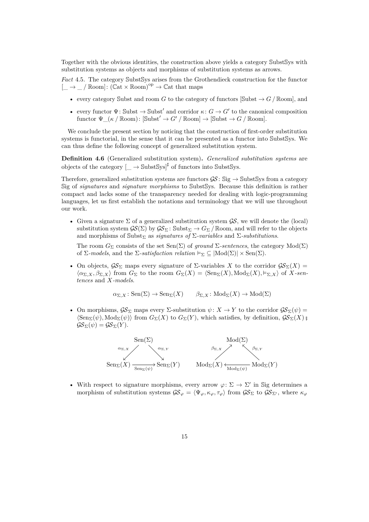Together with the obvious identities, the construction above yields a category SubstSys with substitution systems as objects and morphisms of substitution systems as arrows.

*Fact* 4.5*.* The category SubstSys arises from the Grothendieck construction for the functor  $[\underline{\hspace{0.3cm}}] \rightarrow \underline{\hspace{0.3cm}}$  /  $\mathbb{R}$ oom]:  $(\mathbb{C}at \times \mathbb{R}$ oom)<sup>op</sup>  $\rightarrow \mathbb{C}at$  that maps

- every category Subst and room *G* to the category of functors [Subst  $\rightarrow$  *G* / Room], and
- every functor  $\Psi$ : Subst  $\rightarrow$  Subst' and corridor  $\kappa: G \rightarrow G'$  to the canonical composition functor  $\Psi(\kappa / \text{Room})$ :  $[\text{Subst}' \to G' / \text{Room}] \to [\text{Subst} \to G / \text{Room}].$

We conclude the present section by noticing that the construction of first-order substitution systems is functorial, in the sense that it can be presented as a functor into SubstSys. We can thus define the following concept of generalized substitution system.

<span id="page-14-0"></span>**Definition 4.6** (Generalized substitution system)**.** *Generalized substitution systems* are objects of the category  $\left[\_\right] \to \text{SubstSys}$ <sup> $\sharp$ </sup> of functors into SubstSys.

Therefore, generalized substitution systems are functors  $\mathcal{GS}$ : Sig  $\rightarrow$  SubstSys from a category Sig of *signatures* and *signature morphisms* to SubstSys. Because this definition is rather compact and lacks some of the transparency needed for dealing with logic-programming languages, let us first establish the notations and terminology that we will use throughout our work.

• Given a signature  $\Sigma$  of a generalized substitution system  $\mathcal{G}\mathcal{S}$ , we will denote the (local) substitution system  $\mathcal{G}(\Sigma)$  by  $\mathcal{G}S_{\Sigma}$ : Subst<sub> $\Sigma \to G_{\Sigma}$ </sub> / Room, and will refer to the objects and morphisms of Subst<sub> $\Sigma$ </sub> as *signatures of*  $\Sigma$ -variables and  $\Sigma$ -substitutions.

The room  $G_{\Sigma}$  consists of the set Sen(Σ) of *ground*  $\Sigma$ -sentences, the category Mod(Σ) of  $\Sigma$ -models, and the  $\Sigma$ -satisfaction relation  $\vDash_{\Sigma} \subseteq |\text{Mod}(\Sigma)| \times \text{Sen}(\Sigma)$ .

• On objects,  $\mathcal{G}\mathcal{S}_{\Sigma}$  maps every signature of  $\Sigma$ -variables X to the corridor  $\mathcal{G}\mathcal{S}_{\Sigma}(X)$  =  $\langle \alpha_{\Sigma,X}, \beta_{\Sigma,X} \rangle$  from  $G_{\Sigma}$  to the room  $G_{\Sigma}(X) = \langle \text{Sen}_{\Sigma}(X), \text{Mod}_{\Sigma}(X), \vDash_{\Sigma,X} \rangle$  of X-sen*tences* and *X-models*.

 $\alpha_{\Sigma,X}$ : Sen( $\Sigma$ )  $\rightarrow$  Sen<sub> $\Sigma$ </sub>(*X*)  $\qquad$   $\beta_{\Sigma,X}$ : Mod<sub> $\Sigma$ </sub>(*X*)  $\rightarrow$  Mod( $\Sigma$ )

• On morphisms,  $\mathcal{G}\mathcal{S}_{\Sigma}$  maps every  $\Sigma$ -substitution  $\psi: X \to Y$  to the corridor  $\mathcal{G}\mathcal{S}_{\Sigma}(\psi) =$  $\langle \operatorname{Sen}_{\Sigma}(\psi), \operatorname{Mod}_{\Sigma}(\psi) \rangle$  from  $G_{\Sigma}(X)$  to  $G_{\Sigma}(Y)$ , which satisfies, by definition,  $\mathcal{GS}_{\Sigma}(X)$  ;  $\mathcal{GS}_{\Sigma}(\psi) = \mathcal{GS}_{\Sigma}(Y).$ 



• With respect to signature morphisms, every arrow  $\varphi: \Sigma \to \Sigma'$  in Sig determines a morphism of substitution systems  $\mathcal{GS}_{\varphi} = \langle \Psi_{\varphi}, \kappa_{\varphi}, \tau_{\varphi} \rangle$  from  $\mathcal{GS}_{\Sigma}$  to  $\mathcal{GS}_{\Sigma'}$ , where  $\kappa_{\varphi}$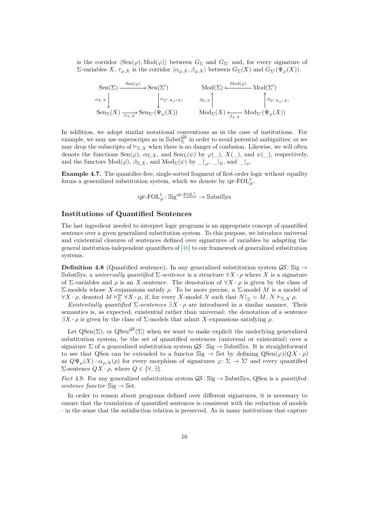is the corridor  $\langle Sen(\varphi), Mod(\varphi) \rangle$  between  $G_{\Sigma}$  and  $G_{\Sigma'}$  and, for every signature of *Σ*-variables *X*,  $\tau_{\varphi,X}$  is the corridor  $\langle \alpha_{\varphi,X}, \beta_{\varphi,X} \rangle$  between  $G_{\Sigma}(X)$  and  $G_{\Sigma'}(\Psi_{\varphi}(X))$ .

$$
\begin{array}{ccc}\n\operatorname{Sen}(\Sigma) & \xrightarrow{\operatorname{Sen}(\varphi)} \operatorname{Sen}(\Sigma') & \operatorname{Mod}(\Sigma) \xleftarrow{\operatorname{Mod}(\varphi)} \operatorname{Mod}(\Sigma') \\
\alpha_{\Sigma, X} & \downarrow & \downarrow & \downarrow \\
\operatorname{Sen}_{\Sigma}(X) & \xrightarrow{\alpha_{\varphi, X}} \operatorname{Sen}_{\Sigma'}(\Psi_{\varphi}(X)) & \operatorname{Mod}_{\Sigma}(X) \xleftarrow{\beta_{\Sigma, X}} \operatorname{Mod}_{\Sigma'}(\Psi_{\varphi}(X)) \\
\end{array}
$$

In addition, we adopt similar notational conventions as in the case of institutions. For example, we may use superscripts as in  $\text{Subst}_{\Sigma}^{\mathcal{GS}}$  in order to avoid potential ambiguities; or we may drop the subscripts of  $\models_{\Sigma,X}$  when there is no danger of confusion. Likewise, we will often denote the functions  $\text{Sen}(\varphi)$ ,  $\alpha_{\Sigma,X}$ , and  $\text{Sen}_{\Sigma}(\psi)$  by  $\varphi(\_)$ ,  $X(\_)$ , and  $\psi(\_)$ , respectively, and the functors  $Mod(\varphi)$ ,  $\beta_{\Sigma,X}$ , and  $Mod_{\Sigma}(\psi)$  by  $\Box_{\varphi}$ ,  $\Box_{\Sigma}$ , and  $\Box_{\psi}$ .

**Example 4.7.** The quantifier-free, single-sorted fragment of first-order logic without equality forms a generalized substitution system, which we denote by QF-FOL $^1_{\neq}$ .

 $\mathrm{QF\text{-}FOL}^1_{\neq} : \mathrm{Sig}^{\mathrm{QF\text{-}}\mathrm{\underline{FOL}}^1_{\neq}} \to \mathrm{Subst} \mathrm{Sys}$ 

#### **Institutions of Quantified Sentences**

The last ingredient needed to interpret logic programs is an appropriate concept of quantified sentence over a given generalized substitution system. To this purpose, we introduce universal and existential closures of sentences defined over signatures of variables by adapting the general institution-independent quantifiers of [\[46\]](#page-37-2) to our framework of generalized substitution systems.

**Definition 4.8** (Quantified sentence). In any generalized substitution system  $\mathcal{G}\mathcal{S}$ : Sig  $\rightarrow$ SubstSys, a *universally quantified*  $\Sigma$ -sentence is a structure  $\forall X \cdot \rho$  where X is a signature of Σ-variables and *ρ* is an *X*-sentence. The denotation of ∀*X* · *ρ* is given by the class of Σ-models whose *X*-expansions satisfy *ρ*. To be more precise, a Σ-model *M* is a model of  $\forall X \cdot \rho$ , denoted  $M \vDash^{\text{qs}}_{\Sigma} \forall X \cdot \rho$ , if, for every *X*-model *N* such that  $N \vDash_{\Sigma} M$ ,  $N \vDash_{\Sigma} X \rho$ .

*Existentially quantified*  $\Sigma$ -sentences  $\exists X \cdot \rho$  are introduced in a similar manner. Their semantics is, as expected, existential rather than universal: the denotation of a sentence  $∃X ⋅ ρ$  is given by the class of  $Σ$ -models that admit *X*-expansions satisfying *ρ*.

Let  $\text{QSen}(\Sigma)$ , or  $\text{QSen}^{\mathcal{GS}}(\Sigma)$  when we want to make explicit the underlying generalized substitution system, be the set of quantified sentences (universal or existential) over a signature  $\Sigma$  of a generalized substitution system  $\mathcal{GS}$ : Sig  $\rightarrow$  SubstSys. It is straightforward to see that QSen can be extended to a functor  $\text{Sig} \to \text{Set}$  by defining  $\text{QSen}(\varphi)(QX \cdot \rho)$ as  $Q\Psi_{\varphi}(X) \cdot \alpha_{\varphi,X}(\rho)$  for every morphism of signatures  $\varphi \colon \Sigma \to \Sigma'$  and every quantified  $Σ$ -sentence  $QX \cdot ρ$ , where  $Q ∈ {∀, ∃}$ .

*Fact* 4.9. For any generalized substitution system  $\mathcal{G}S$ : Sig  $\rightarrow$  SubstSys, QSen is a *quantifiedsentence functor*  $\text{Sig} \rightarrow \text{Set}$ .

In order to reason about programs defined over different signatures, it is necessary to ensure that the translation of quantified sentences is consistent with the reduction of models – in the sense that the satisfaction relation is preserved. As in many institutions that capture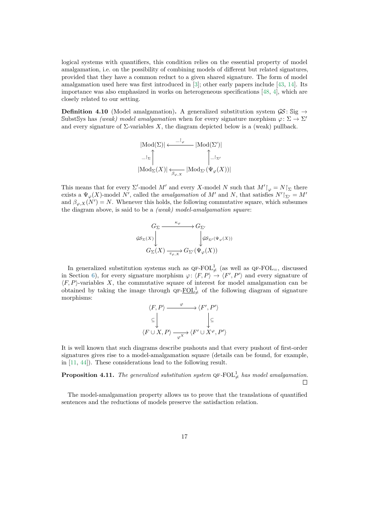logical systems with quantifiers, this condition relies on the essential property of model amalgamation, i.e. on the possibility of combining models of different but related signatures, provided that they have a common reduct to a given shared signature. The form of model amalgamation used here was first introduced in [\[3\]](#page-34-8); other early papers include [\[43,](#page-37-3) [14\]](#page-35-12). Its importance was also emphasized in works on heterogeneous specifications [\[48,](#page-37-10) [4\]](#page-34-4), which are closely related to our setting.

**Definition 4.10** (Model amalgamation). A generalized substitution system  $\mathcal{GS}$ : Sig  $\rightarrow$ SubstSys has *(weak) model amalgamation* when for every signature morphism  $\varphi \colon \Sigma \to \Sigma'$ and every signature of  $\Sigma$ -variables  $X$ , the diagram depicted below is a (weak) pullback.

$$
\begin{aligned} &|\text{Mod}(\Sigma)| \longleftarrow \xrightarrow{-\upharpoonright_{\varphi}} |\text{Mod}(\Sigma')| \\ &\qquad \qquad -\upharpoonright_{\Sigma} \bigcap_{\text{Mod}_{\Sigma}(X)} \bigcap_{\beta_{\varphi,X}} \text{Mod}_{\Sigma'}(\Psi_{\varphi}(X))| \end{aligned}
$$

This means that for every  $\Sigma'$ -model *M'* and every *X*-model *N* such that  $M' \upharpoonright_{\varphi} = N \upharpoonright_{\Sigma}$  there exists a  $\Psi_{\varphi}(X)$ -model *N'*, called the *amalgamation* of *M'* and *N*, that satisfies  $N'|\Sigma' = M'$ and  $\beta_{\varphi,X}(N')=N$ . Whenever this holds, the following commutative square, which subsumes the diagram above, is said to be a *(weak) model-amalgamation square*:

$$
\begin{array}{ccc}\nG_{\Sigma} & \xrightarrow{\kappa_{\varphi}} & G_{\Sigma'} \\
\downarrow^{G_{\Sigma}(X)} & & \downarrow^{G_{\Sigma'}(\Psi_{\varphi}(X))} \\
G_{\Sigma}(X) & \xrightarrow[\tau_{\varphi,X}]{\tau_{\varphi,X}} & G_{\Sigma'}(\Psi_{\varphi}(X))\n\end{array}
$$

In generalized substitution systems such as  $QF\text{-}FOL^1_{\neq}$  (as well as  $QF\text{-}FOL_{=}$ , discussed in Section [6\)](#page-29-0), for every signature morphism  $\varphi: \langle F, P \rangle \to \langle F', P' \rangle$  and every signature of  $\langle F, P \rangle$ -variables *X*, the commutative square of interest for model amalgamation can be obtained by taking the image through  $\mathsf{QF\text{-}FOL}^1_{\neq}$  of the following diagram of signature morphisms:

$$
\langle F, P \rangle \xrightarrow{\varphi} \langle F', P' \rangle
$$
  
\n
$$
\subseteq \bigcup_{\langle F \cup X, P \rangle} \xrightarrow{\varphi} \langle F' \cup X^{\varphi}, P' \rangle
$$

It is well known that such diagrams describe pushouts and that every pushout of first-order signatures gives rise to a model-amalgamation square (details can be found, for example, in [\[11,](#page-35-6) [44\]](#page-37-6)). These considerations lead to the following result.

<span id="page-16-0"></span>**Proposition 4.11.** The generalized substitution system  $QF$ - $FOL^1_{\neq}$  has model amalgamation.  $\Box$ 

The model-amalgamation property allows us to prove that the translations of quantified sentences and the reductions of models preserve the satisfaction relation.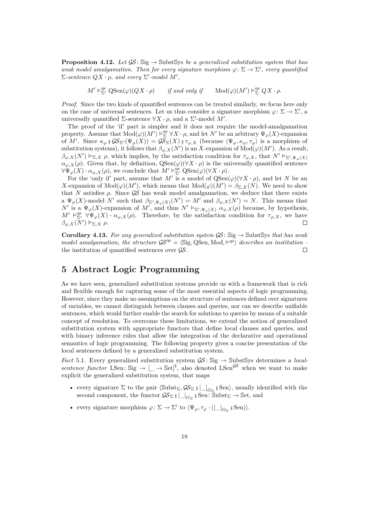**Proposition 4.12.** Let  $\mathcal{G}\mathcal{S}: \text{Sig} \to \text{SubstSys}$  *be a generalized substitution system that has weak model amalgamation. Then for every signature morphism*  $\varphi \colon \Sigma \to \Sigma'$ , every quantified  $\Sigma$ -sentence  $QX \cdot \rho$ , and every  $\Sigma'$ -model  $M'$ ,

 $M' \vDash^{\text{qs}}_{\Sigma'} \text{QSen}(\varphi)(QX \cdot \rho)$  *if and only if*  $\text{Mod}(\varphi)(M') \vDash^{\text{qs}}_{\Sigma} QX \cdot \rho$ .

*Proof.* Since the two kinds of quantified sentences can be treated similarly, we focus here only on the case of universal sentences. Let us thus consider a signature morphism  $\varphi \colon \Sigma \to \Sigma'$ , a universally quantified  $\Sigma$ -sentence  $\forall X \cdot \rho$ , and a  $\Sigma'$ -model  $M'$ .

The proof of the 'if' part is simpler and it does not require the model-amalgamation property. Assume that  $Mod(\varphi)(M') \vDash_{\Sigma}^{\text{qs}} \forall X \cdot \rho$ , and let *N'* be an arbitrary  $\Psi_{\varphi}(X)$ -expansion of *M'*. Since  $\kappa_{\varphi}$  ;  $\mathcal{G}\mathcal{S}_{\Sigma'}(\Psi_{\varphi}(X)) = \mathcal{G}\mathcal{S}_{\Sigma}(X)$  ;  $\tau_{\varphi,X}$  (because  $\langle \Psi_{\varphi}, \kappa_{\varphi}, \tau_{\varphi} \rangle$  is a morphism of substitution systems), it follows that  $\beta_{\varphi,X}(N')$  is an *X*-expansion of  $\text{Mod}(\varphi)(M')$ . As a result,  $\beta_{\varphi,X}(N') \vDash_{\Sigma, X} \rho$ , which implies, by the satisfaction condition for  $\tau_{\varphi,X}$ , that  $N' \vDash_{\Sigma', \Psi_{\varphi}(X)}$  $\alpha_{\varphi,X}(\rho)$ . Given that, by definition,  $\text{QSen}(\varphi)(\forall X \cdot \rho)$  is the universally quantified sentence  $\forall \Psi_{\varphi}(X) \cdot \alpha_{\varphi,X}(\rho)$ , we conclude that  $M' \vDash_{\Sigma'}^{\mathsf{qs}} Q\mathsf{Sen}(\varphi)(\forall X \cdot \rho)$ .

For the 'only if' part, assume that M' is a model of  $QSen(\varphi)(\forall X \cdot \rho)$ , and let N be an *X*-expansion of  $Mod(\varphi)(M')$ , which means that  $Mod(\varphi)(M') = \beta_{\Sigma,X}(N)$ . We need to show that *N* satisfies  $\rho$ . Since  $\mathcal{G}\mathcal{S}$  has weak model amalgamation, we deduce that there exists a  $\Psi_{\varphi}(X)$ -model *N*<sup>*i*</sup> such that  $\beta_{\Sigma',\Psi_{\varphi}(X)}(N')=M'$  and  $\beta_{\varphi,X}(N')=N$ . This means that *N*<sup> $\prime$ </sup> is a  $\Psi_{\varphi}(X)$ -expansion of *M*<sup> $\prime$ </sup>, and thus  $N' \vDash_{\Sigma', \Psi_{\varphi}(X)} \alpha_{\varphi,X}(\rho)$  because, by hypothesis,  $M' \vDash_{\Sigma'}^{\text{qs}} \forall \Psi_{\varphi}(X) \cdot \alpha_{\varphi,X}(\rho)$ . Therefore, by the satisfaction condition for  $\tau_{\varphi,X}$ , we have  $\beta_{\varphi,X}(\overline{N}') \vDash_{\Sigma,X} \rho.$ 

**Corollary 4.13.** For any generalized substitution system  $\mathcal{GS}$ : Sig  $\rightarrow$  SubstSys that has weak *model amalgamation, the structure*  $\mathcal{S}^{\text{qs}} = \langle \text{Sig}, \text{QSen}, \text{Mod}, \models^{qs} \rangle$  *describes an institution* – the institution of quantified sentences over GS*.*  $\Box$ 

# <span id="page-17-0"></span>**5 Abstract Logic Programming**

As we have seen, generalized substitution systems provide us with a framework that is rich and flexible enough for capturing some of the most essential aspects of logic programming. However, since they make no assumptions on the structure of sentences defined over signatures of variables, we cannot distinguish between clauses and queries, nor can we describe unifiable sentences, which would further enable the search for solutions to queries by means of a suitable concept of resolution. To overcome these limitations, we extend the notion of generalized substitution system with appropriate functors that define local clauses and queries, and with binary inference rules that allow the integration of the declarative and operational semantics of logic programming. The following property gives a concise presentation of the local sentences defined by a generalized substitution system.

*Fact* 5.1. Every generalized substitution system  $\mathcal{GS}$ : Sig  $\rightarrow$  SubstSys determines a *localsentence functor* LSen: Sig  $\rightarrow$   $\left[\right]$   $\rightarrow$  Set $\left| \right]$ <sup> $\sharp$ </sup>, also denoted LSen<sup>GS</sup> when we want to make explicit the generalized substitution system, that maps

- every signature  $\Sigma$  to the pair  $\langle \text{Subst}_{\Sigma}, \mathcal{GS}_{\Sigma} \rangle = |_{G_{\Sigma}} \rangle$ , usually identified with the second component, the functor  $\mathcal{GS}_{\Sigma}$  **;**  $|\_G_{\Sigma}$  **;** Sen:  $\overline{\text{Subst}_{\Sigma}} \to \text{Set}$ , and
- every signature morphism  $\varphi \colon \Sigma \to \Sigma'$  to  $\langle \Psi_{\varphi}, \tau_{\varphi} \cdot ( \bigsqcup_{G_{\Sigma}} \S \operatorname{Sen} ) \rangle$ .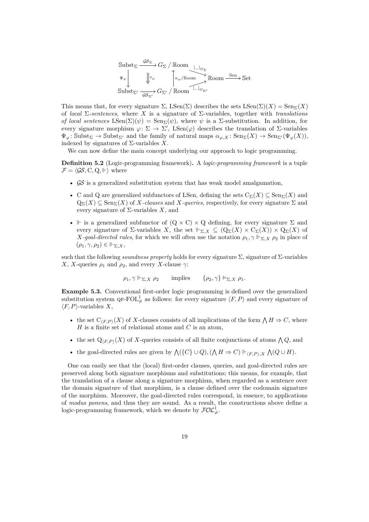$$
\begin{array}{c}\n\text{Subst}_{\Sigma} \xrightarrow{\mathcal{GS}_{\Sigma}} G_{\Sigma} / \text{Room} \xrightarrow{\perp_{G_{\Sigma}}} \text{Hom} \\
\downarrow^{\Psi_{\varphi}} \qquad \qquad \downarrow^{\tau_{\varphi}} \qquad \qquad \downarrow^{\kappa_{\varphi}/\text{Room}} \xrightarrow{\text{Sen}} \text{Set} \\
\text{Subst}_{\Sigma'} \xrightarrow[\mathcal{GS}_{\Sigma'}]} G_{\Sigma'} / \text{Room} \xrightarrow{\perp_{G_{\Sigma'}}} \text{Hom} \\
\end{array}
$$

This means that, for every signature  $\Sigma$ , LSen( $\Sigma$ ) describes the sets LSen( $\Sigma$ )( $X$ ) = Sen<sub> $\Sigma$ </sub>( $X$ ) of *local* Σ*-sentences*, where *X* is a signature of Σ-variables, together with *translations of local sentences*  $\text{LSen}(\Sigma)(\psi) = \text{Sen}_{\Sigma}(\psi)$ , where  $\psi$  is a  $\Sigma$ -substitution. In addition, for every signature morphism  $\varphi: \Sigma \to \Sigma'$ , LSen( $\varphi$ ) describes the translation of  $\Sigma$ -variables  $\Psi_{\varphi}$ : Subst<sub> $\Sigma'$ </sub> and the family of natural maps  $\alpha_{\varphi,X}$ : Sen $\Sigma(X) \to \text{Sen}_{\Sigma'}(\Psi_{\varphi}(X)),$ indexed by signatures of Σ-variables *X*.

We can now define the main concept underlying our approach to logic programming.

<span id="page-18-0"></span>**Definition 5.2** (Logic-programming framework)**.** A *logic-programming framework* is a tuple  $\mathcal{F} = \langle \mathcal{GS}, \mathbf{C}, \mathbf{Q}, \mathbb{H} \rangle$  where

- $\mathcal{G} \mathcal{S}$  is a generalized substitution system that has weak model amalgamation,
- C and Q are generalized subfunctors of LSen, defining the sets  $C_{\Sigma}(X) \subseteq \text{Sen}_{\Sigma}(X)$  and  $Q_{\Sigma}(X) \subseteq \text{Sen}_{\Sigma}(X)$  of *X-clauses* and *X<sub></sub>-queries*, respectively, for every signature  $\Sigma$  and every signature of Σ-variables *X*, and
- $\vdash$  is a generalized subfunctor of  $(Q \times C) \times Q$  defining, for every signature  $\Sigma$  and every signature of  $\Sigma$ -variables X, the set  $\Vdash_{\Sigma,X} \subseteq (\mathbb{Q}_{\Sigma}(X) \times \mathbb{C}_{\Sigma}(X)) \times \mathbb{Q}_{\Sigma}(X)$  of *X-goal-directed rules*, for which we will often use the notation  $\rho_1$ ,  $\gamma \Vdash_{\Sigma}$ ,  $\chi \rho_2$  in place of  $(\rho_1, \gamma, \rho_2) \in \Vdash_{\Sigma, X}$

such that the following *soundness property* holds for every signature  $\Sigma$ , signature of  $\Sigma$ -variables *X*, *X*-queries  $\rho_1$  and  $\rho_2$ , and every *X*-clause  $\gamma$ :

$$
\rho_1, \gamma \Vdash_{\Sigma, X} \rho_2
$$
 implies  $\{\rho_2, \gamma\} \vDash_{\Sigma, X} \rho_1$ .

**Example 5.3.** Conventional first-order logic programming is defined over the generalized substitution system  $\mathsf{QF\text{-}FOL}^1_{\neq}$  as follows: for every signature  $\langle F, P \rangle$  and every signature of  $\langle F, P \rangle$ -variables *X*,

- the set  $C_{\langle F,P \rangle}(X)$  of *X*-clauses consists of all implications of the form  $\bigwedge H \Rightarrow C$ , where *H* is a finite set of relational atoms and *C* is an atom,
- the set  $Q_{\langle F,P \rangle}(X)$  of X-queries consists of all finite conjunctions of atoms  $\bigwedge Q$ , and
- the goal-directed rules are given by  $\bigwedge (\{C\} \cup Q), (\bigwedge H \Rightarrow C) \Vdash_{\langle F, P \rangle, X} \bigwedge (Q \cup H)$ .

One can easily see that the (local) first-order clauses, queries, and goal-directed rules are preserved along both signature morphisms and substitutions; this means, for example, that the translation of a clause along a signature morphism, when regarded as a sentence over the domain signature of that morphism, is a clause defined over the codomain signature of the morphism. Moreover, the goal-directed rules correspond, in essence, to applications of *modus ponens*, and thus they are sound. As a result, the constructions above define a logic-programming framework, which we denote by  $\mathcal{FOL}_{\neq}^{1}$ .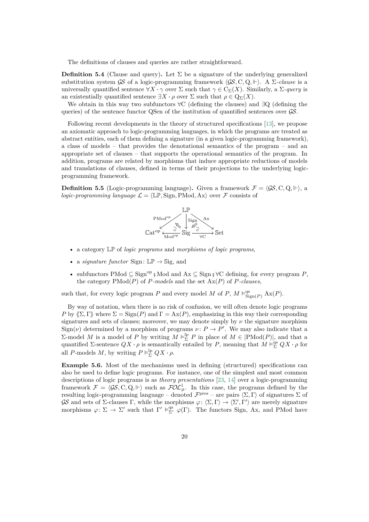The definitions of clauses and queries are rather straightforward.

**Definition 5.4** (Clause and query). Let  $\Sigma$  be a signature of the underlying generalized substitution system GS of a logic-programming framework  $\langle GS, C, Q, \Vdash \rangle$ . A  $\Sigma$ -clause is a universally quantified sentence  $\forall X \cdot \gamma$  over  $\Sigma$  such that  $\gamma \in C_{\Sigma}(X)$ . Similarly, a  $\Sigma$ -query is an existentially quantified sentence  $\exists X \cdot \rho$  over  $\Sigma$  such that  $\rho \in \mathcal{Q}_{\Sigma}(X)$ .

We obtain in this way two subfunctors ∀C (defining the clauses) and ∃Q (defining the queries) of the sentence functor QSen of the institution of quantified sentences over  $\mathcal{G}\mathcal{S}$ .

Following recent developments in the theory of structured specifications [\[13\]](#page-35-13), we propose an axiomatic approach to logic-programming languages, in which the programs are treated as abstract entities, each of them defining a signature (in a given logic-programming framework), a class of models – that provides the denotational semantics of the program – and an appropriate set of clauses – that supports the operational semantics of the program. In addition, programs are related by morphisms that induce appropriate reductions of models and translations of clauses, defined in terms of their projections to the underlying logicprogramming framework.

**Definition 5.5** (Logic-programming language). Given a framework  $\mathcal{F} = \langle \mathcal{GS}, \mathcal{C}, \mathcal{Q}, \Vdash \rangle$ , a *logic-programming language*  $\mathcal{L} = \langle \mathbb{LP}, \text{Sign}, \text{PMod}, \text{Ax} \rangle$  over  $\mathcal F$  consists of



- a category LP of *logic programs* and *morphisms of logic programs*,
- a *signature functor* Sign:  $\mathbb{LP} \to \mathbb{S}$ ig, and
- subfunctors PMod ⊆ Signop **;** Mod and Ax ⊆ Sign **;** ∀C defining, for every program *P*, the category  $PMod(P)$  of *P-models* and the set  $Ax(P)$  of *P<sub></sub>-clauses*,

such that, for every logic program *P* and every model *M* of *P*,  $M \vDash^{\text{qs}}_{\text{Sign}(P)} \text{Ax}(P)$ .

By way of notation, when there is no risk of confusion, we will often denote logic programs *P* by  $\langle \Sigma, \Gamma \rangle$  where  $\Sigma = \text{Sign}(P)$  and  $\Gamma = \text{Ax}(P)$ , emphasizing in this way their corresponding signatures and sets of clauses; moreover, we may denote simply by  $\nu$  the signature morphism  $Sign(\nu)$  determined by a morphism of programs  $\nu: P \to P'$ . We may also indicate that a Σ-model *M* is a model of *P* by writing  $M \vDash_{\Sigma}^{\text{lp}} P$  in place of  $M \in |P\text{Mod}(P)|$ , and that a quantified  $\Sigma$ -sentence  $QX \cdot \rho$  is semantically entailed by *P*, meaning that  $M \vDash_{\Sigma}^{\text{qs}} QX \cdot \rho$  for all *P*-models *M*, by writing  $P \vDash_{\Sigma}^{\text{lp}} QX \cdot \rho$ .

<span id="page-19-0"></span>**Example 5.6.** Most of the mechanisms used in defining (structured) specifications can also be used to define logic programs. For instance, one of the simplest and most common descriptions of logic programs is as *theory presentations* [\[23,](#page-35-3) [14\]](#page-35-12) over a logic-programming framework  $\mathcal{F} = \langle \mathcal{GS}, C, Q, \Vdash \rangle$  such as  $\mathcal{FOL}_{\neq}^1$ . In this case, the programs defined by the resulting logic-programming language – denoted  $\mathcal{F}^{pres}$  – are pairs  $\langle \Sigma, \Gamma \rangle$  of signatures  $\Sigma$  of GS and sets of Σ-clauses Γ, while the morphisms  $\varphi: \langle \Sigma, \Gamma \rangle \to \langle \Sigma', \Gamma' \rangle$  are merely signature morphisms  $\varphi: \Sigma \to \Sigma'$  such that  $\Gamma' \models^{\text{qs}}_{\Sigma'} \varphi(\Gamma)$ . The functors Sign, Ax, and PMod have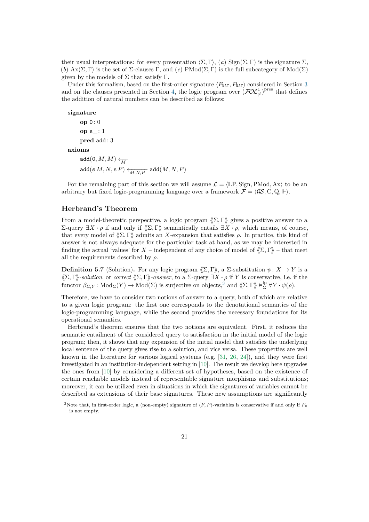their usual interpretations: for every presentation  $\langle \Sigma, \Gamma \rangle$ ,  $(a)$  Sign $(\Sigma, \Gamma)$  is the signature  $\Sigma$ . (*b*)  $\text{Ax}(\Sigma, \Gamma)$  is the set of  $\Sigma$ -clauses  $\Gamma$ , and  $(c)$  PMod $(\Sigma, \Gamma)$  is the full subcategory of Mod $(\Sigma)$ given by the models of  $\Sigma$  that satisfy  $\Gamma$ .

Under this formalism, based on the first-order signature  $\langle F_{\text{NAT}}, P_{\text{NAT}} \rangle$  considered in Section [3](#page-7-0) and on the clauses presented in Section [4,](#page-11-0) the logic program over  $(\text{FOL}_\neq^1)$ <sup>pres</sup> that defines the addition of natural numbers can be described as follows:

**signature**

```
op 0: 0
op s_: 1
pred add: 3
```
**axioms**

add $(0, M, M) \leftarrow$  $\operatorname{add}(\operatorname{s} M, N, \operatorname{s} P) \xleftarrow{\text{max}} \operatorname{add}(M, N, P)$ 

For the remaining part of this section we will assume  $\mathcal{L} = \langle \mathbb{LP}, \text{Sign}, \text{PMod}, \text{Ax} \rangle$  to be an arbitrary but fixed logic-programming language over a framework  $\mathcal{F} = \langle \mathcal{GS}, \mathcal{C}, \mathcal{Q}, \Vdash \rangle$ .

## **Herbrand's Theorem**

From a model-theoretic perspective, a logic program  $\langle \Sigma, \Gamma \rangle$  gives a positive answer to a  $Σ$ -query  $∃X \cdot ρ$  if and only if  $\langle Σ, Γ \rangle$  semantically entails  $∃X \cdot ρ$ , which means, of course, that every model of  $\langle \Sigma, \Gamma \rangle$  admits an *X*-expansion that satisfies  $\rho$ . In practice, this kind of answer is not always adequate for the particular task at hand, as we may be interested in finding the actual 'values' for  $X$  – independent of any choice of model of  $\langle \Sigma, \Gamma \rangle$  – that meet all the requirements described by *ρ*.

<span id="page-20-1"></span>**Definition 5.7** (Solution). For any logic program  $\langle \Sigma, \Gamma \rangle$ , a  $\Sigma$ -substitution  $\psi: X \to Y$  is a  $\langle \Sigma, \Gamma \rangle$ -solution, or *correct*  $\langle \Sigma, \Gamma \rangle$ -answer, to a  $\Sigma$ -query  $\exists X \cdot \rho$  if *Y* is conservative, i.e. if the  $\text{functor } \beta_{\Sigma,Y} : \text{Mod}_{\Sigma}(Y) \to \text{Mod}(\Sigma)$  is surjective on objects,<sup>[3](#page-20-0)</sup> and  $\langle\!\langle \Sigma, \Gamma \rangle\!\rangle \vDash^{\text{lp}}_{\Sigma} \forall Y \cdot \psi(\rho)$ .

Therefore, we have to consider two notions of answer to a query, both of which are relative to a given logic program: the first one corresponds to the denotational semantics of the logic-programming language, while the second provides the necessary foundations for its operational semantics.

Herbrand's theorem ensures that the two notions are equivalent. First, it reduces the semantic entailment of the considered query to satisfaction in the initial model of the logic program; then, it shows that any expansion of the initial model that satisfies the underlying local sentence of the query gives rise to a solution, and vice versa. These properties are well known in the literature for various logical systems (e.g.  $[31, 26, 24]$  $[31, 26, 24]$  $[31, 26, 24]$  $[31, 26, 24]$  $[31, 26, 24]$ ), and they were first investigated in an institution-independent setting in [\[10\]](#page-34-3). The result we develop here upgrades the ones from [\[10\]](#page-34-3) by considering a different set of hypotheses, based on the existence of certain reachable models instead of representable signature morphisms and substitutions; moreover, it can be utilized even in situations in which the signatures of variables cannot be described as extensions of their base signatures. These new assumptions are significantly

<span id="page-20-0"></span><sup>&</sup>lt;sup>3</sup>Note that, in first-order logic, a (non-empty) signature of  $\langle F, P \rangle$ -variables is conservative if and only if  $F_0$ is not empty.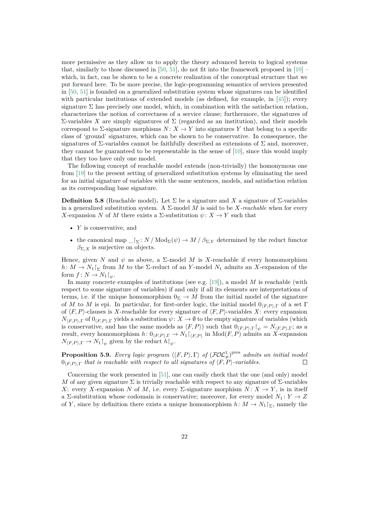more permissive as they allow us to apply the theory advanced herein to logical systems that, similarly to those discussed in [\[50,](#page-37-1) [51\]](#page-37-4), do not fit into the framework proposed in [\[10\]](#page-34-3) – which, in fact, can be shown to be a concrete realization of the conceptual structure that we put forward here. To be more precise, the logic-programming semantics of services presented in [\[50,](#page-37-1) [51\]](#page-37-4) is founded on a generalized substitution system whose signatures can be identified with particular institutions of extended models (as defined, for example, in [\[45\]](#page-37-11)); every signature  $\Sigma$  has precisely one model, which, in combination with the satisfaction relation, characterizes the notion of correctness of a service clause; furthermore, the signatures of Σ-variables *X* are simply signatures of Σ (regarded as an institution), and their models correspond to  $\Sigma$ -signature morphisms  $N: X \to Y$  into signatures Y that belong to a specific class of 'ground' signatures, which can be shown to be conservative. In consequence, the signatures of  $\Sigma$ -variables cannot be faithfully described as extensions of  $\Sigma$  and, moreover, they cannot be guaranteed to be representable in the sense of [\[10\]](#page-34-3), since this would imply that they too have only one model.

The following concept of reachable model extends (non-trivially) the homonymous one from [\[19\]](#page-35-10) to the present setting of generalized substitution systems by eliminating the need for an initial signature of variables with the same sentences, models, and satisfaction relation as its corresponding base signature.

<span id="page-21-0"></span>**Definition 5.8** (Reachable model). Let  $\Sigma$  be a signature and X a signature of  $\Sigma$ -variables in a generalized substitution system. A  $\Sigma$ -model M is said to be X-reachable when for every *X*-expansion *N* of *M* there exists a  $\Sigma$ -substitution  $\psi: X \to Y$  such that

- *Y* is conservative, and
- the canonical map  $\Gamma_{\Sigma}: N / \text{Mod}_{\Sigma}(\psi) \to M / \beta_{\Sigma,Y}$  determined by the reduct functor  $\beta_{\Sigma,X}$  is surjective on objects.

Hence, given *N* and  $\psi$  as above, a  $\Sigma$ -model *M* is *X*-reachable if every homomorphism  $h: M \to N_1$ <sub>1</sub> from *M* to the Σ-reduct of an *Y*-model *N*<sub>1</sub> admits an *X*-expansion of the form  $f: N \to N_1$   $\upharpoonright_{\psi}$ .

In many concrete examples of institutions (see e.g. [\[19\]](#page-35-10)), a model *M* is reachable (with respect to some signature of variables) if and only if all its elements are interpretations of terms, i.e. if the unique homomorphism  $0_{\Sigma} \rightarrow M$  from the initial model of the signature of *M* to *M* is epi. In particular, for first-order logic, the initial model  $0<sub>(F,P)\Gamma</sub>$  of a set Γ of  $\langle F, P \rangle$ -clauses is *X*-reachable for every signature of  $\langle F, P \rangle$ -variables *X*: every expansion  $N_{\langle F,P\rangle,\Gamma}$  of  $0_{\langle F,P\rangle,\Gamma}$  yields a substitution  $\psi\colon X\to\emptyset$  to the empty signature of variables (which is conservative, and has the same models as  $\langle F, P \rangle$  such that  $0_{\langle F, P \rangle, \Gamma} \upharpoonright_{\psi} = N_{\langle F, P \rangle, \Gamma}$ ; as a result, every homomorphism  $h: 0_{\langle F,P \rangle,\Gamma} \to N_1 \upharpoonright_{\langle F,P \rangle}$  in  $\text{Mod}(F,P)$  admits an *X*-expansion  $N_{\langle F, P \rangle, \Gamma} \to N_1 \upharpoonright_{\psi}$  given by the reduct  $h \upharpoonright_{\psi}$ .

**Proposition 5.9.** *Every logic program*  $\langle\langle F, P \rangle, \Gamma \rangle$  *of*  $(\mathcal{FOL}^1_{\neq})^{\text{pres}}$  *admits an initial model*  $0_{(F,P),\Gamma}$  *that is reachable with respect to all signatures of*  $\langle F, P \rangle$ *-variables.*  $\Box$ 

Concerning the work presented in [\[51\]](#page-37-4), one can easily check that the one (and only) model *M* of any given signature  $\Sigma$  is trivially reachable with respect to any signature of  $\Sigma$ -variables *X*: every *X*-expansion *N* of *M*, i.e. every  $\Sigma$ -signature morphism  $N: X \to Y$ , is in itself a  $\Sigma$ -substitution whose codomain is conservative; moreover, for every model  $N_1: Y \to Z$ of *Y*, since by definition there exists a unique homomorphism  $h: M \to N_1\vert_{\Sigma}$ , namely the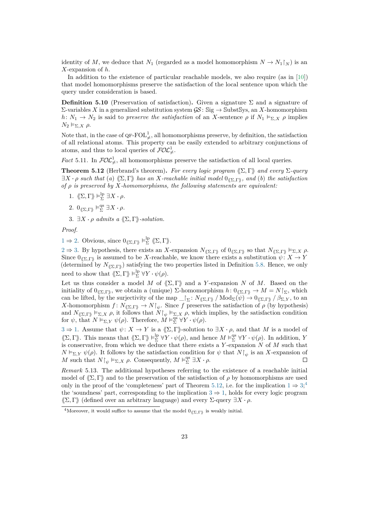identity of *M*, we deduce that  $N_1$  (regarded as a model homomorphism  $N \to N_1 \upharpoonright_N$ ) is an *X*-expansion of *h*.

In addition to the existence of particular reachable models, we also require (as in [\[10\]](#page-34-3)) that model homomorphisms preserve the satisfaction of the local sentence upon which the query under consideration is based.

**Definition 5.10** (Preservation of satisfaction). Given a signature  $\Sigma$  and a signature of Σ-variables *X* in a generalized substitution system GS : Sig → SubstSys, an *X*-homomorphism *h*:  $N_1 \rightarrow N_2$  is said to *preserve the satisfaction* of an *X*-sentence  $\rho$  if  $N_1 \vDash_{\Sigma} X \rho$  implies  $N_2$  ⊨<sub>Σ,*X*</sub>  $ρ$ .

Note that, in the case of  $\mathbf{Q}F\text{-}\mathrm{FOL}^1_{\neq}$ , all homomorphisms preserve, by definition, the satisfaction of all relational atoms. This property can be easily extended to arbitrary conjunctions of atoms, and thus to local queries of  $\mathcal{FOL}_{\neq}^{1}$ .

*Fact* 5.11. In  $FOL<sup>1</sup><sub>\neq</sub>$ , all homomorphisms preserve the satisfaction of all local queries.

<span id="page-22-3"></span>**Theorem 5.12** (Herbrand's theorem). *For every logic program*  $\langle\!\langle \Sigma, \Gamma \rangle\!\rangle$  *and every*  $\Sigma$ *-query*  $\exists X \cdot \rho$  *such that* (*a*)  $\langle \Sigma, \Gamma \rangle$  *has an X*-reachable initial model  $0_{\langle \Sigma, \Gamma \rangle}$ *, and* (*b*) *the satisfaction of ρ is preserved by X-homomorphisms, the following statements are equivalent:*

- <span id="page-22-0"></span>1.  $\langle\!\langle \Sigma, \Gamma \rangle\!\rangle \models_{\Sigma}^{\mathrm{lp}} \exists X \cdot \rho.$
- <span id="page-22-1"></span>2.  $0_{\langle\!\langle \Sigma,\Gamma\rangle\!\rangle} \models_{\Sigma}^{\text{qs}} \exists X \cdot \rho.$
- <span id="page-22-2"></span>3.  $\exists X \cdot \rho$  *admits a*  $\langle\!\langle \Sigma, \Gamma \rangle\!\rangle$ *-solution.*

*Proof.*

[1](#page-22-0)  $\Rightarrow$  [2.](#page-22-1) Obvious, since  $0_{\langle\!\langle \Sigma,\Gamma \rangle\!\rangle} \vDash^{\mathrm{lp}}_{\Sigma} \langle\!\langle \Sigma,\Gamma \rangle\!\rangle.$ 

 $2 \Rightarrow 3$  $2 \Rightarrow 3$ . By hypothesis, there exists an *X*-expansion  $N_{\langle\!\langle\Sigma,\Gamma\rangle\!\rangle}$  of  $0_{\langle\!\langle\Sigma,\Gamma\rangle\!\rangle}$  so that  $N_{\langle\!\langle\Sigma,\Gamma\rangle\!\rangle} \vDash_{\Sigma, X} \rho$ . Since  $0_{\langle\!\langle\Sigma,\Gamma\rangle\!\rangle}$  is assumed to be *X*-reachable, we know there exists a substitution  $\psi: X \to Y$ (determined by  $N_{\langle\Sigma,\Gamma\rangle}$ ) satisfying the two properties listed in Definition [5.8.](#page-21-0) Hence, we only need to show that  $\langle\!\langle \Sigma, \Gamma \rangle\!\rangle \models_{\Sigma}^{\text{lp}} \forall Y \cdot \psi(\rho)$ .

Let us thus consider a model *M* of  $(\Sigma, \Gamma)$  and a *Y*-expansion *N* of *M*. Based on the initiality of  $0_{\langle \Sigma,\Gamma \rangle}$ , we obtain a (unique) Σ-homomorphism  $h: 0_{\langle \Sigma,\Gamma \rangle} \to M = N\mathcal{T}_{\Sigma}$ , which can be lifted, by the surjectivity of the map  $\Gamma_{\Sigma}: N_{\langle \Sigma,\Gamma \rangle} / \text{Mod}_{\Sigma}(\psi) \to 0_{\langle \Sigma,\Gamma \rangle} / \beta_{\Sigma,Y}$ , to an *X*-homomorphism  $f: N_{\langle \Sigma, \Gamma \rangle} \to N\mathcal{F}_{\psi}$ . Since *f* preserves the satisfaction of *ρ* (by hypothesis) and  $N_{\langle \sum,\Gamma \rangle} \models_{\Sigma,X} \rho$ , it follows that  $N|_{\psi} \models_{\Sigma,X} \rho$ , which implies, by the satisfaction condition for  $\psi$ , that  $N \vDash_{\Sigma,Y} \psi(\rho)$ . Therefore,  $\check{M} \vDash_{\Sigma}^{\text{qs}} \forall Y \cdot \psi(\rho)$ .

 $3 \Rightarrow 1$  $3 \Rightarrow 1$ . Assume that  $\psi: X \to Y$  is a  $\langle\!\langle \Sigma,\Gamma\rangle\!\rangle$ -solution to  $\exists X \cdot \rho$ , and that M is a model of  $\langle \Sigma, \Gamma \rangle$ . This means that  $\langle \Sigma, \Gamma \rangle \models_{\Sigma}^{\text{lp}} \forall Y \cdot \psi(\rho)$ , and hence  $M \models_{\Sigma}^{\text{qs}} \forall Y \cdot \psi(\rho)$ . In addition, *Y* is conservative, from which we deduce that there exists a *Y* -expansion *N* of *M* such that  $N \vDash_{\Sigma,Y} \psi(\rho)$ . It follows by the satisfaction condition for  $\psi$  that  $N|_{\psi}$  is an *X*-expansion of *M* such that  $N\upharpoonright_{\psi} \vDash_{\Sigma, X} \rho$ . Consequently,  $M \vDash_{\Sigma}^{\text{qs}} \exists X \cdot \rho$ .  $\Box$ 

*Remark* 5.13*.* The additional hypotheses referring to the existence of a reachable initial model of  $\langle \Sigma, \Gamma \rangle$  and to the preservation of the satisfaction of  $\rho$  by homomorphisms are used only in the proof of the 'completeness' part of Theorem [5.12,](#page-22-3) i.e. for the implication  $1 \Rightarrow 3;$  $1 \Rightarrow 3;$  $1 \Rightarrow 3;$ <sup>[4](#page-22-4)</sup> the 'soundness' part, corresponding to the implication  $3 \Rightarrow 1$  $3 \Rightarrow 1$ , holds for every logic program  $\langle \Sigma, \Gamma \rangle$  (defined over an arbitrary language) and every  $\Sigma$ -query  $\exists X \cdot \rho$ .

<span id="page-22-4"></span><sup>&</sup>lt;sup>4</sup>Moreover, it would suffice to assume that the model  $0_{\langle\!\langle\Sigma,\Gamma\rangle\!\rangle}$  is weakly initial.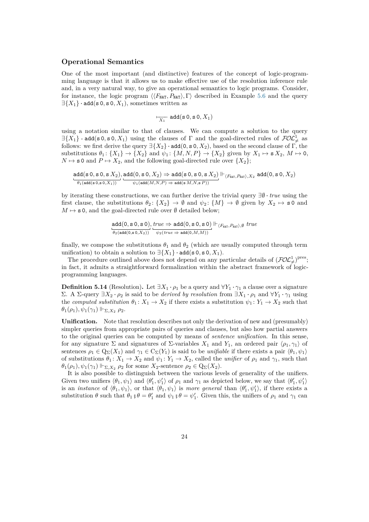#### **Operational Semantics**

One of the most important (and distinctive) features of the concept of logic-programming language is that it allows us to make effective use of the resolution inference rule and, in a very natural way, to give an operational semantics to logic programs. Consider, for instance, the logic program  $\langle F_{\text{MAT}}, P_{\text{MAT}} \rangle$ ,  $\Gamma \rangle$  described in Example [5.6](#page-19-0) and the query  $\exists \{X_1\}$  · add(s 0, s 0,  $X_1$ ), sometimes written as

$$
\overline{X_1} \text{ add}(\mathbf{s} \, \mathbf{0}, \mathbf{s} \, \mathbf{0}, X_1)
$$

using a notation similar to that of clauses. We can compute a solution to the query  $\exists \{X_1\}$  · add(s 0, s 0, X<sub>1</sub>) using the clauses of  $\Gamma$  and the goal-directed rules of  $FOL^1_{\neq}$  as follows: we first derive the query  $\exists \{X_2\} \cdot \text{add}(0, \text{s } 0, X_2)$ , based on the second clause of Γ, the substitutions  $\theta_1: \{X_1\} \to \{X_2\}$  and  $\psi_1: \{M, N, P\} \to \{X_2\}$  given by  $X_1 \mapsto sX_2, M \mapsto 0$ ,  $N \mapsto$  **s** 0 and  $P \mapsto X_2$ , and the following goal-directed rule over  $\{X_2\}$ ;

$$
\underbrace{\text{add}({\bf s}\, {\bf 0},{\bf s}\, {\bf 0},{\bf s}\, X_2)}_{\theta_1({\rm add}({\bf s}\, {\bf 0},{\bf s}\, 0,X_1))}\cdot\, \underbrace{\text{add}({\bf 0},{\bf s}\, {\bf 0},X_2)}_{\psi_1({\rm add}(M,N,P)\,\Rightarrow\,{\rm add}({\bf s}\, M,N,{\bf s}\, P))}\Vdash_{\langle F_{\tt{MAT}},P_{\tt{MAT}}\rangle,X_2} {\rm add}({\bf 0},{\bf s}\, {\bf 0},X_2)
$$

by iterating these constructions, we can further derive the trivial query ∃∅ · *true* using the first clause, the substitutions  $\theta_2$ :  $\{X_2\} \to \emptyset$  and  $\psi_2$ :  $\{M\} \to \emptyset$  given by  $X_2 \to \mathbf{s} \mathbf{0}$  and  $M \mapsto s$  0, and the goal-directed rule over  $\emptyset$  detailed below;

$$
\frac{\text{add}(0, s0, s0)}{\theta_2(\text{add}(0, s0, X_2))} \cdot \frac{\text{true} \Rightarrow \text{add}(0, s0, s0)}{\psi_2(\text{true} \Rightarrow \text{add}(0, M, M))} \Vdash_{\langle F_{\text{NAT}}, P_{\text{NAT}} \rangle, \emptyset} \text{true}
$$

finally, we compose the substitutions  $\theta_1$  and  $\theta_2$  (which are usually computed through term unification) to obtain a solution to  $\exists \{X_1\} \cdot \text{add}(\mathbf{s} \cdot \mathbf{0}, \mathbf{s} \cdot \mathbf{0}, X_1).$ 

The procedure outlined above does not depend on any particular details of  $(\text{FOL}_\neq^1)^\text{pres}$ ; in fact, it admits a straightforward formalization within the abstract framework of logicprogramming languages.

<span id="page-23-0"></span>**Definition 5.14** (Resolution). Let  $\exists X_1 \cdot \rho_1$  be a query and  $\forall Y_1 \cdot \gamma_1$  a clause over a signature Σ. A Σ-query  $∃X_2 ⋅ ρ_2$  is said to be *derived by resolution* from  $∃X_1 ⋅ ρ_1$  and ∀*Y*<sub>1</sub> · γ<sub>1</sub> using the *computed substitution*  $\theta_1: X_1 \to X_2$  if there exists a substitution  $\psi_1: Y_1 \to X_2$  such that *θ*<sub>1</sub>(*ρ*<sub>1</sub>)*, ψ*<sub>1</sub>( $γ$ <sub>1</sub>)</sub>  $\Vdash_{\Sigma, X_2}$  *ρ*<sub>2</sub>.

**Unification.** Note that resolution describes not only the derivation of new and (presumably) simpler queries from appropriate pairs of queries and clauses, but also how partial answers to the original queries can be computed by means of *sentence unification*. In this sense, for any signature  $\Sigma$  and signatures of  $\Sigma$ -variables  $X_1$  and  $Y_1$ , an ordered pair  $\langle \rho_1, \gamma_1 \rangle$  of sentences  $\rho_1 \in \mathbb{Q}_{\Sigma}(X_1)$  and  $\gamma_1 \in \mathbb{C}_{\Sigma}(Y_1)$  is said to be *unifiable* if there exists a pair  $\langle \theta_1, \psi_1 \rangle$ of substitutions  $\theta_1: X_1 \to X_2$  and  $\psi_1: Y_1 \to X_2$ , called the *unifier* of  $\rho_1$  and  $\gamma_1$ , such that  $\theta_1(\rho_1), \psi_1(\gamma_1) \Vdash_{\Sigma, X_2} \rho_2$  for some *X*<sub>2</sub>-sentence  $\rho_2 \in \mathbb{Q}_{\Sigma}(X_2)$ .

It is also possible to distinguish between the various levels of generality of the unifiers. Given two unifiers  $\langle \theta_1, \psi_1 \rangle$  and  $\langle \theta'_1, \psi'_1 \rangle$  of  $\rho_1$  and  $\gamma_1$  as depicted below, we say that  $\langle \theta'_1, \psi'_1 \rangle$ is an *instance* of  $\langle \theta_1, \psi_1 \rangle$ , or that  $\langle \theta_1, \psi_1 \rangle$  is *more general* than  $\langle \theta'_1, \psi'_1 \rangle$ , if there exists a substitution  $\theta$  such that  $\theta_1$  ;  $\theta = \theta'_1$  and  $\psi_1$  ;  $\theta = \psi'_1$ . Given this, the unifiers of  $\rho_1$  and  $\gamma_1$  can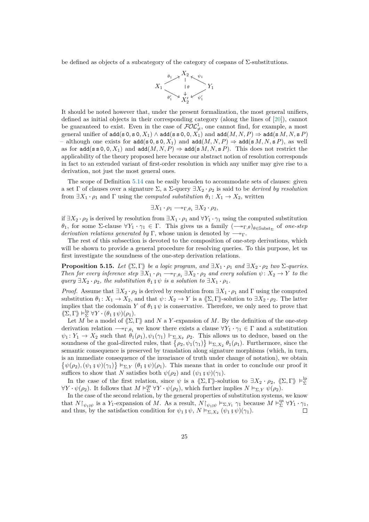be defined as objects of a subcategory of the category of cospans of Σ-substitutions.



It should be noted however that, under the present formalization, the most general unifiers, defined as initial objects in their corresponding category (along the lines of [\[20\]](#page-35-14)), cannot be guaranteed to exist. Even in the case of  $FOL<sup>1</sup><sub>\neq</sub>$ , one cannot find, for example, a most general unifier of  $\text{add}(s 0, s 0, X_1) \wedge \text{add}(s s 0, 0, X_1)$  and  $\text{add}(M, N, P) \Rightarrow \text{add}(s M, N, s P)$ – although one exists for add(s 0*,* s 0*, X*1) and add(*M, N, P*) ⇒ add(s *M, N,* s *P*), as well as for  $\text{add}(s \le 0, 0, X_1)$  and  $\text{add}(M, N, P) \Rightarrow \text{add}(s \mid M, N, s \mid P)$ . This does not restrict the applicability of the theory proposed here because our abstract notion of resolution corresponds in fact to an extended variant of first-order resolution in which any unifier may give rise to a derivation, not just the most general ones.

The scope of Definition [5.14](#page-23-0) can be easily broaden to accommodate sets of clauses: given a set Γ of clauses over a signature  $\Sigma$ , a  $\Sigma$ -query  $\exists X_2 \cdot \rho_2$  is said to be *derived by resolution* from  $\exists X_1 \cdot \rho_1$  and  $\Gamma$  using the *computed substitution*  $\theta_1: X_1 \to X_2$ , written

$$
\exists X_1 \cdot \rho_1 \longrightarrow_{\Gamma, \theta_1} \exists X_2 \cdot \rho_2,
$$

if  $\exists X_2 \cdot \rho_2$  is derived by resolution from  $\exists X_1 \cdot \rho_1$  and  $\forall Y_1 \cdot \gamma_1$  using the computed substitution  $\theta_1$ , for some  $\Sigma$ -clause  $\forall Y_1 \cdot \gamma_1 \in \Gamma$ . This gives us a family  $\left(\longrightarrow_{\Gamma,\theta}\right)_{\theta \in \mathcal{S}^{\text{ulbst}}\Sigma}$  of *one-step derivation relations generated by* Γ, whose union is denoted by  $\longrightarrow$ <sub>Γ</sub>.

The rest of this subsection is devoted to the composition of one-step derivations, which will be shown to provide a general procedure for resolving queries. To this purpose, let us first investigate the soundness of the one-step derivation relations.

<span id="page-24-0"></span>**Proposition 5.15.** *Let*  $\langle \Sigma, \Gamma \rangle$  *be a logic program, and*  $\exists X_1 \cdot \rho_1$  *and*  $\exists X_2 \cdot \rho_2$  *two*  $\Sigma$ -queries. *Then for every inference step*  $\exists X_1 \cdot \rho_1 \longrightarrow_{\Gamma, \theta_1} \exists X_2 \cdot \rho_2$  *and every solution*  $\psi \colon X_2 \to Y$  *to the query*  $\exists X_2 \cdot \rho_2$ *, the substitution*  $\theta_1 \notin \psi$  *is a solution to*  $\exists X_1 \cdot \rho_1$ *.* 

*Proof.* Assume that  $\exists X_2 \cdot \rho_2$  is derived by resolution from  $\exists X_1 \cdot \rho_1$  and  $\Gamma$  using the computed substitution  $\theta_1: X_1 \to X_2$ , and that  $\psi: X_2 \to Y$  is a  $\langle\!\langle \Sigma, \Gamma \rangle\!\rangle$ -solution to  $\exists X_2 \cdot \rho_2$ . The latter implies that the codomain *Y* of  $\theta_1 \circ \psi$  is conservative. Therefore, we only need to prove that  $\langle\!\langle \Sigma, \Gamma \rangle\!\rangle \models_{\Sigma}^{\mathrm{lp}} \forall Y \cdot (\theta_1 \circ \psi)(\rho_1).$ 

Let *M* be a model of  $\langle \Sigma, \Gamma \rangle$  and *N* a *Y*-expansion of *M*. By the definition of the one-step derivation relation  $\longrightarrow_{\Gamma,\theta_1}$  we know there exists a clause  $\forall Y_1 \cdot \gamma_1 \in \Gamma$  and a substitution  $\psi_1: Y_1 \to X_2$  such that  $\theta_1(\rho_1), \psi_1(\gamma_1) \Vdash_{\Sigma, X_2} \rho_2$ . This allows us to deduce, based on the soundness of the goal-directed rules, that  $\{\rho_2, \psi_1(\gamma_1)\}\models_{\Sigma, X_2} \theta_1(\rho_1)$ . Furthermore, since the semantic consequence is preserved by translation along signature morphisms (which, in turn, is an immediate consequence of the invariance of truth under change of notation), we obtain  $\{\psi(\rho_2), (\psi_1, \psi)(\gamma_1)\}\vDash_{\Sigma,Y} (\theta_1, \psi)(\rho_1)$ . This means that in order to conclude our proof it suffices to show that *N* satisfies both  $\psi(\rho_2)$  and  $(\psi_1, \psi)(\gamma_1)$ .

In the case of the first relation, since  $\psi$  is a  $\langle\!\langle \Sigma, \Gamma \rangle\!\rangle$ -solution to  $\exists X_2 \cdot \rho_2$ ,  $\langle\!\langle \Sigma, \Gamma \rangle\!\rangle \vDash^{\mathrm{lp}}_{\Sigma}$  $\forall Y \cdot \psi(\rho_2)$ . It follows that  $M \vDash^{\text{qs}}_{\Sigma} \forall Y \cdot \psi(\rho_2)$ , which further implies  $N \vDash_{\Sigma,Y} \psi(\rho_2)$ .

In the case of the second relation, by the general properties of substitution systems, we know that  $N\upharpoonright_{\psi_1;\psi}$  is a *Y*<sub>1</sub>-expansion of *M*. As a result,  $N\upharpoonright_{\psi_1;\psi} \vDash_{\Sigma,Y_1} \gamma_1$  because  $M \vDash_{\Sigma}^{\text{qs}} \forall Y_1 \cdot \gamma_1$ , and thus, by the satisfaction condition for  $\psi_1 \circ \psi$ ,  $N \vDash_{\Sigma, X_2} (\psi_1 \circ \psi)(\gamma_1)$ .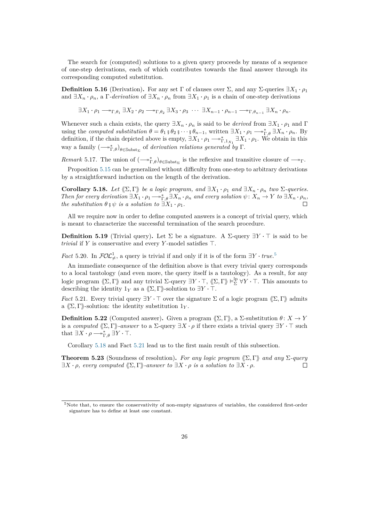The search for (computed) solutions to a given query proceeds by means of a sequence of one-step derivations, each of which contributes towards the final answer through its corresponding computed substitution.

**Definition 5.16** (Derivation). For any set  $\Gamma$  of clauses over  $\Sigma$ , and any  $\Sigma$ -queries  $\exists X_1 \cdot \rho_1$ and  $\exists X_n \cdot \rho_n$ , a  $\Gamma$ *-derivation* of  $\exists X_n \cdot \rho_n$  from  $\exists X_1 \cdot \rho_1$  is a chain of one-step derivations

 $\exists X_1 \cdot \rho_1 \longrightarrow_{\Gamma, \theta_1} \exists X_2 \cdot \rho_2 \longrightarrow_{\Gamma, \theta_2} \exists X_3 \cdot \rho_3 \cdots \exists X_{n-1} \cdot \rho_{n-1} \longrightarrow_{\Gamma, \theta_{n-1}} \exists X_n \cdot \rho_n$ 

Whenever such a chain exists, the query  $\exists X_n \cdot \rho_n$  is said to be *derived* from  $\exists X_1 \cdot \rho_1$  and  $\Gamma$ using the *computed substitution*  $\theta = \theta_1 \circ \theta_2 \circ \cdots \circ \theta_{n-1}$ , written  $\exists X_1 \cdot \rho_1 \longrightarrow_{\Gamma,\theta}^* \exists X_n \cdot \rho_n$ . By definition, if the chain depicted above is empty,  $\exists X_1 \cdot \rho_1 \longrightarrow_{\Gamma, 1_{X_1}}^* \exists X_1 \cdot \rho_1$ . We obtain in this way a family  $\left(\longrightarrow_{\Gamma,\theta}^*\right)_{\theta \in \text{Subst}_{\Sigma}}$  of *derivation relations generated by*  $\Gamma$ .

*Remark* 5.17. The union of  $(-\gamma_{\Gamma,\theta}^*)_{\theta \in \text{Subst}_{\Sigma}}$  is the reflexive and transitive closure of  $-\gamma_{\Gamma}$ .

Proposition [5.15](#page-24-0) can be generalized without difficulty from one-step to arbitrary derivations by a straightforward induction on the length of the derivation.

<span id="page-25-1"></span>**Corollary 5.18.** *Let*  $\langle \Sigma, \Gamma \rangle$  *be a logic program, and*  $\exists X_1 \cdot \rho_1$  *and*  $\exists X_n \cdot \rho_n$  *two*  $\Sigma$ *-queries. Then for every derivation*  $\exists X_1 \cdot \rho_1 \longrightarrow_{\Gamma,\theta}^* \exists X_n \cdot \rho_n$  *and every solution*  $\psi \colon X_n \to Y$  *to*  $\exists X_n \cdot \rho_n$ *, the substitution*  $\theta \circ \psi$  *is a solution to*  $\exists X_1 \cdot \rho_1$ *.* 

All we require now in order to define computed answers is a concept of trivial query, which is meant to characterize the successful termination of the search procedure.

**Definition 5.19** (Trivial query). Let  $\Sigma$  be a signature. A  $\Sigma$ -query  $\exists Y \cdot \top$  is said to be *trivial* if  $Y$  is conservative and every  $Y$ -model satisfies  $\top$ .

<span id="page-25-4"></span>*Fact* [5](#page-25-0).20. In  $\mathcal{FOL}_{\neq}^1$ , a query is trivial if and only if it is of the form  $\exists Y \cdot true$ .<sup>5</sup>

An immediate consequence of the definition above is that every trivial query corresponds to a local tautology (and even more, the query itself is a tautology). As a result, for any logic program  $\langle\!\langle \Sigma, \Gamma \rangle\!\rangle$  and any trivial  $\Sigma$ -query  $\exists Y \cdot \top$ ,  $\langle\!\langle \Sigma, \Gamma \rangle\!\rangle \models_{\Sigma}^{\text{lp}} \forall Y \cdot \top$ . This amounts to describing the identity  $1_Y$  as a  $\langle\!\langle \Sigma, \Gamma \rangle\!\rangle$ -solution to  $\exists Y \cdot \top$ .

<span id="page-25-2"></span>*Fact* 5.21. Every trivial query  $\exists Y \cdot \top$  over the signature  $\Sigma$  of a logic program  $\langle \Sigma, \Gamma \rangle$  admits a  $\langle \Sigma, \Gamma \rangle$ -solution: the identity substitution 1<sub>*Y*</sub>.

**Definition 5.22** (Computed answer). Given a program  $\langle \Sigma, \Gamma \rangle$ , a  $\Sigma$ -substitution  $\theta \colon X \to Y$ is a *computed*  $\langle \Sigma, \Gamma \rangle$ -answer to a  $\Sigma$ -query  $\exists X \cdot \rho$  if there exists a trivial query  $\exists Y \cdot \top$  such that  $\exists X \cdot \rho \longrightarrow_{\Gamma,\theta}^* \exists Y \cdot \top$ .

Corollary [5.18](#page-25-1) and Fact [5.21](#page-25-2) lead us to the first main result of this subsection.

<span id="page-25-3"></span>**Theorem 5.23** (Soundness of resolution). *For any logic program*  $\langle \Sigma, \Gamma \rangle$  *and any* Σ*-query*  $\exists X \cdot \rho$ *, every computed*  $\langle \Sigma, \Gamma \rangle$ *-answer to*  $\exists X \cdot \rho$  *is a solution to*  $\exists X \cdot \rho$ *.*  $\Box$ 

<span id="page-25-0"></span><sup>5</sup>Note that, to ensure the conservativity of non-empty signatures of variables, the considered first-order signature has to define at least one constant.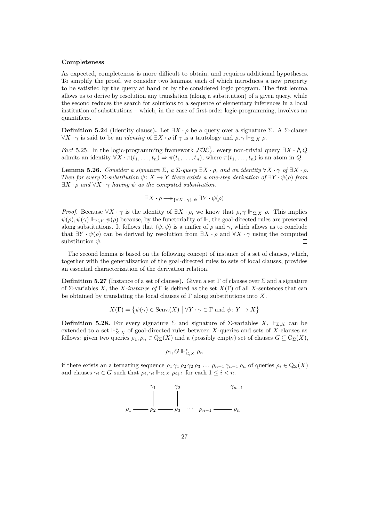#### **Completeness**

As expected, completeness is more difficult to obtain, and requires additional hypotheses. To simplify the proof, we consider two lemmas, each of which introduces a new property to be satisfied by the query at hand or by the considered logic program. The first lemma allows us to derive by resolution any translation (along a substitution) of a given query, while the second reduces the search for solutions to a sequence of elementary inferences in a local institution of substitutions – which, in the case of first-order logic-programming, involves no quantifiers.

**Definition 5.24** (Identity clause). Let  $\exists X \cdot \rho$  be a query over a signature Σ. A Σ-clause  $\forall X \cdot \gamma$  is said to be an *identity* of  $\exists X \cdot \rho$  if  $\gamma$  is a tautology and  $\rho, \gamma \Vdash_{\Sigma, X} \rho$ .

*Fact* 5.25. In the logic-programming framework  $\mathcal{FOL}_{\neq}^1$ , every non-trivial query  $\exists X \cdot \bigwedge Q$ admits an identity  $\forall X \cdot \pi(t_1, \ldots, t_n) \Rightarrow \pi(t_1, \ldots, t_n)$ , where  $\pi(t_1, \ldots, t_n)$  is an atom in *Q*.

<span id="page-26-1"></span>**Lemma 5.26.** *Consider a signature*  $\Sigma$ ,  $a \Sigma$ *-query*  $\exists X \cdot \rho$ , and an identity  $\forall X \cdot \gamma$  of  $\exists X \cdot \rho$ . *Then for every*  $\Sigma$ -substitution  $\psi: X \to Y$  there exists a one-step derivation of  $\exists Y \cdot \psi(\rho)$  from  $\exists X \cdot \rho$  *and*  $\forall X \cdot \gamma$  *having*  $\psi$  *as the computed substitution.* 

$$
\exists X \cdot \rho \longrightarrow_{\{\forall X \cdot \gamma\}, \psi} \exists Y \cdot \psi(\rho)
$$

*Proof.* Because  $\forall X \cdot \gamma$  is the identity of  $\exists X \cdot \rho$ , we know that  $\rho, \gamma \Vdash_{\Sigma, X} \rho$ . This implies  $\psi(\rho), \psi(\gamma) \Vdash_{\Sigma,Y} \psi(\rho)$  because, by the functoriality of  $\Vdash$ , the goal-directed rules are preserved along substitutions. It follows that  $\langle \psi, \psi \rangle$  is a unifier of  $\rho$  and  $\gamma$ , which allows us to conclude that  $\exists Y \cdot \psi(\rho)$  can be derived by resolution from  $\exists X \cdot \rho$  and  $\forall X \cdot \gamma$  using the computed substitution *ψ*.  $\Box$ 

The second lemma is based on the following concept of instance of a set of clauses, which, together with the generalization of the goal-directed rules to sets of local clauses, provides an essential characterization of the derivation relation.

**Definition 5.27** (Instance of a set of clauses)**.** Given a set Γ of clauses over Σ and a signature of Σ-variables *X*, the *X-instance of* Γ is defined as the set *X*(Γ) of all *X*-sentences that can be obtained by translating the local clauses of  $\Gamma$  along substitutions into X.

$$
X(\Gamma) = \{ \psi(\gamma) \in \text{Sen}_{\Sigma}(X) \mid \forall Y \cdot \gamma \in \Gamma \text{ and } \psi \colon Y \to X \}
$$

<span id="page-26-0"></span>**Definition 5.28.** For every signature Σ and signature of Σ-variables  $X$ ,  $\Vdash_{\Sigma} X$  can be extended to a set  $\Vdash_{\Sigma,X}^*$  of goal-directed rules between *X*-queries and sets of *X*-clauses as follows: given two queries  $\rho_1, \rho_n \in \mathcal{Q}_{\Sigma}(X)$  and a (possibly empty) set of clauses  $G \subseteq \mathcal{C}_{\Sigma}(X)$ ,

$$
\rho_1, G \Vdash_{\Sigma, X}^* \rho_n
$$

if there exists an alternating sequence  $\rho_1 \gamma_1 \rho_2 \gamma_2 \rho_3 \ldots \rho_{n-1} \gamma_{n-1} \rho_n$  of queries  $\rho_i \in \mathbb{Q}_{\Sigma}(X)$ and clauses  $\gamma_i \in G$  such that  $\rho_i, \gamma_i \Vdash_{\Sigma, X} \rho_{i+1}$  for each  $1 \leq i < n$ .

$$
\rho_1 \longrightarrow \begin{array}{c}\n\gamma_1 & \gamma_2 & \gamma_{n-1} \\
\downarrow & \downarrow \\
\rho_2 & \rho_3 & \cdots & \rho_{n-1} \longrightarrow \rho_n\n\end{array}
$$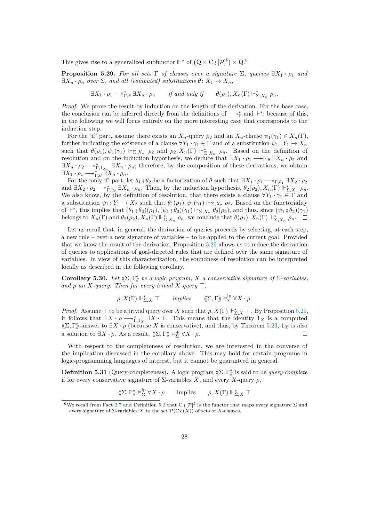This gives rise to a generalized subfunctor  $\mathbb{H}^*$  of  $(Q \times C \cdot \mathfrak{g}[\mathcal{P}]^{\sharp}) \times Q$ .

<span id="page-27-1"></span>**Proposition 5.29.** For all sets  $\Gamma$  of clauses over a signature  $\Sigma$ , queries  $\exists X_1 \cdot \rho_1$  and  $\exists X_n \cdot \rho_n$  *over*  $\Sigma$ *, and all (computed) substitutions*  $\theta \colon X_1 \to X_n$ ,

 $\exists X_1 \cdot \rho_1 \longrightarrow_{\Gamma,\theta}^* \exists X_n \cdot \rho_n$  *if and only if*  $\theta(\rho_1), X_n(\Gamma) \Vdash_{\Sigma,X_n}^* \rho_n$ .

*Proof.* We prove the result by induction on the length of the derivation. For the base case, the conclusion can be inferred directly from the definitions of  $\longrightarrow_{\Gamma}^*$  and  $\mathbb{H}^*$ ; because of this, in the following we will focus entirely on the more interesting case that corresponds to the induction step.

For the 'if' part, assume there exists an  $X_n$ -query  $\rho_2$  and an  $X_n$ -clause  $\psi_1(\gamma_1) \in X_n(\Gamma)$ , further indicating the existence of a clause  $\forall Y_1 \cdot \gamma_1 \in \Gamma$  and of a substitution  $\psi_1: Y_1 \to X_n$ such that  $\theta(\rho_1), \psi_1(\gamma_1) \Vdash_{\Sigma, X_n} \rho_2$  and  $\rho_2, X_n(\Gamma) \Vdash_{\Sigma, X_n}^* \rho_n$ . Based on the definition of resolution and on the induction hypothesis, we deduce that  $\exists X_1 \cdot \rho_1 \longrightarrow_{\Gamma,\theta} \exists X_n \cdot \rho_2$  and  $\exists X_n \cdot \rho_2 \longrightarrow_{\Gamma, 1}^* X_n \cdot \rho_n$ ; therefore, by the composition of these derivations, we obtain  $\exists X_1 \cdot \rho_1 \longrightarrow_{\Gamma,\theta}^* \exists X_n \cdot \rho_n.$ 

For the 'only if' part, let  $\theta_1$  **;**  $\theta_2$  be a factorization of  $\theta$  such that  $\exists X_1 \cdot \rho_1 \longrightarrow_{\Gamma, \theta_1} \exists X_2 \cdot \rho_2$ and  $\exists X_2 \cdot \rho_2 \longrightarrow_{\Gamma,\theta_2}^* \exists X_n \cdot \rho_n$ . Then, by the induction hypothesis,  $\theta_2(\rho_2)$ ,  $X_n(\Gamma) \Vdash_{\Sigma,X_n}^* \rho_n$ . We also know, by the definition of resolution, that there exists a clause  $\forall Y_1 \cdot \gamma_1 \in \Gamma$  and a substitution  $\psi_1: Y_1 \to X_2$  such that  $\theta_1(\rho_1), \psi_1(\gamma_1) \Vdash_{\Sigma, X_2} \rho_2$ . Based on the functoriality of  $\Vdash^*$ , this implies that  $(\theta_1 \, \mathfrak{z} \, \theta_2)(\rho_1), (\psi_1 \, \mathfrak{z} \, \theta_2)(\gamma_1) \Vdash_{\Sigma, X_n} \theta_2(\rho_2)$ , and thus, since  $(\psi_1 \, \mathfrak{z} \, \theta_2)(\gamma_1)$ belongs to  $X_n(\Gamma)$  and  $\theta_2(\rho_2)$ ,  $X_n(\Gamma) \Vdash_{\Sigma, X_n}^* \rho_n$ , we conclude that  $\theta(\rho_1), X_n(\Gamma) \Vdash_{\Sigma, X_n}^* \rho_n$ .

Let us recall that, in general, the derivation of queries proceeds by selecting, at each step. a new rule – over a new signature of variables – to be applied to the current goal. Provided that we know the result of the derivation, Proposition [5.29](#page-27-1) allows us to reduce the derivation of queries to applications of goal-directed rules that are defined over the same signature of variables. In view of this characterization, the soundness of resolution can be interpreted locally as described in the following corollary.

**Corollary 5.30.** *Let*  $\langle \Sigma, \Gamma \rangle$  *be a logic program, X a conservative signature of*  $\Sigma$ *-variables, and*  $\rho$  *an*  $X$ *-query. Then for every trivial*  $X$ *-query*  $\top$ *,* 

 $\rho, X(\Gamma) \Vdash_{\Sigma, X}^* \top$  *implies*  $\langle\!\langle \Sigma, \Gamma \rangle\!\rangle \vDash_{\Sigma}^{\text{lp}} \forall X \cdot \rho.$ 

*Proof.* Assume  $\top$  to be a trivial query over *X* such that  $\rho$ ,  $X(\Gamma) \Vdash_{\Sigma,X}^* \top$ . By Proposition [5.29,](#page-27-1) it follows that  $\exists X \cdot \rho \longrightarrow_{\Gamma,1_X}^* \exists X \cdot \top$ . This means that the identity  $1_X$  is a computed  $\langle \Sigma, \Gamma \rangle$ -answer to  $\exists X \cdot \rho$  (because *X* is conservative), and thus, by Theorem [5.23,](#page-25-3) 1<sub>X</sub> is also a solution to  $\exists X \cdot \rho$ . As a result,  $\langle\!\langle \Sigma, \Gamma \rangle\!\rangle \vDash^{\text{lp}}_{\Sigma} \forall X \cdot \rho$ .  $\Box$ 

With respect to the completeness of resolution, we are interested in the converse of the implication discussed in the corollary above. This may hold for certain programs in logic-programming languages of interest, but it cannot be guaranteed in general.

**Definition 5.31** (Query-completeness). A logic program  $\langle \Sigma, \Gamma \rangle$  is said to be *query-complete* if for every conservative signature of Σ-variables *X*, and every *X*-query *ρ*,

 $\langle \! \langle \Sigma, \Gamma \rangle \! \rangle \models_{\Sigma}^{\text{lp}} \forall X \cdot \rho$  implies  $\rho, X(\Gamma) \Vdash_{\Sigma, X}^* \top$ 

<span id="page-27-0"></span><sup>&</sup>lt;sup>6</sup>We recall from Fact [2.7](#page-3-1) and Definition [5.2](#page-18-0) that C **;**  $|\mathcal{P}|^{\sharp}$  is the functor that maps every signature  $\Sigma$  and every signature of  $\Sigma$ -variables *X* to the set  $\mathcal{P}(C_{\Sigma}(X))$  of sets of *X*-clauses.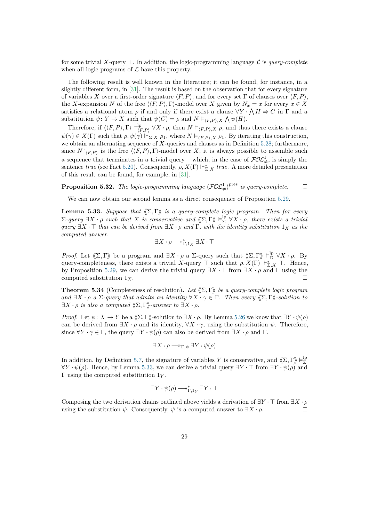for some trivial *X*-query  $\top$ . In addition, the logic-programming language  $\mathcal{L}$  is *query-complete* when all logic programs of  $\mathcal L$  have this property.

The following result is well known in the literature; it can be found, for instance, in a slightly different form, in [\[31\]](#page-36-3). The result is based on the observation that for every signature of variables *X* over a first-order signature  $\langle F, P \rangle$ , and for every set Γ of clauses over  $\langle F, P \rangle$ , the *X*-expansion *N* of the free  $\langle \langle F, P \rangle, \Gamma \rangle$ -model over *X* given by  $N_x = x$  for every  $x \in X$ satisfies a relational atom  $\rho$  if and only if there exist a clause  $\forall Y \cdot \bigwedge H \Rightarrow C$  in  $\Gamma$  and a substitution  $\psi: Y \to X$  such that  $\psi(C) = \rho$  and  $N \vDash_{\langle F, P \rangle, X} \bigwedge \psi(H)$ .

Therefore, if  $\langle\langle F, P \rangle, \Gamma \rangle \models^{\text{lp}}_{\iota}$  $\chi_{(F,P)}^{\text{lp}} \forall X \cdot \rho$ , then  $N \models_{\langle F,P \rangle, X} \rho$ , and thus there exists a clause  $\psi(\gamma) \in X(\Gamma)$  such that  $\rho, \psi(\gamma) \Vdash_{\Sigma, X} \rho_1$ , where  $N \vDash_{\langle F, P \rangle, X} \rho_1$ . By iterating this construction, we obtain an alternating sequence of *X*-queries and clauses as in Definition [5.28;](#page-26-0) furthermore, since  $N|_{\langle F, P \rangle}$  is the free  $\langle \langle F, P \rangle$ ,  $\Gamma \rangle$ -model over *X*, it is always possible to assemble such a sequence that terminates in a trivial query – which, in the case of  $FOL<sup>1</sup><sub>\neq</sub>$ , is simply the sentence *true* (see Fact [5.20\)](#page-25-4). Consequently,  $\rho$ ,  $X(\Gamma) \Vdash_{\Sigma,X}^*$  *true*. A more detailed presentation of this result can be found, for example, in [\[31\]](#page-36-3).

**Proposition 5.32.** The logic-programming language  $(\text{FOL}^1_{\neq})^{\text{pres}}$  is query-complete.  $\Box$ 

We can now obtain our second lemma as a direct consequence of Proposition [5.29.](#page-27-1)

<span id="page-28-0"></span>**Lemma 5.33.** *Suppose that*  $\langle \Sigma, \Gamma \rangle$  *is a query-complete logic program. Then for every*  $\Sigma$ -query  $\exists X \cdot \rho$  such that X is conservative and  $\langle\!\langle \Sigma,\Gamma\rangle\!\rangle \vDash^{\text{lp}}_{\Sigma} \forall X \cdot \rho$ , there exists a trivial  $q$ *uery*  $\exists X \cdot \top$  *that can be derived from*  $\exists X \cdot \rho$  *and*  $\Gamma$ *, with the identity substitution*  $1_X$  *as the computed answer.*

$$
\exists X\cdot\rho\longrightarrow^*_{\Gamma,1_X}\exists X\cdot\top
$$

*Proof.* Let  $\langle\!\langle \Sigma,\Gamma\rangle\!\rangle$  be a program and  $\exists X \cdot \rho$  a  $\Sigma$ -query such that  $\langle\!\langle \Sigma,\Gamma\rangle\!\rangle \vDash^{lp}_{\Sigma} \forall X \cdot \rho$ . By query-completeness, there exists a trivial *X*-query  $\top$  such that  $\rho$ ,  $X(\Gamma)$   $\Vdash_{\Sigma,X}^*$   $\top$ . Hence, by Proposition [5.29,](#page-27-1) we can derive the trivial query  $\exists X \cdot \top$  from  $\exists X \cdot \rho$  and  $\Gamma$  using the computed substitution 1*X*.  $\Box$ 

**Theorem 5.34** (Completeness of resolution). Let  $(\Sigma, \Gamma)$  be a query-complete logic program  $and \exists X \cdot \rho \ a \Sigma$ -query that admits an identity  $\forall X \cdot \gamma \in \Gamma$ . Then every  $\langle \Sigma, \Gamma \rangle$ -solution to  $\exists X \cdot \rho$  *is also a computed*  $\langle \Sigma, \Gamma \rangle$ *-answer to*  $\exists X \cdot \rho$ *.* 

*Proof.* Let  $\psi: X \to Y$  be a  $\langle \Sigma, \Gamma \rangle$ -solution to  $\exists X \cdot \rho$ . By Lemma [5.26](#page-26-1) we know that  $\exists Y \cdot \psi(\rho)$ can be derived from  $\exists X \cdot \rho$  and its identity,  $\forall X \cdot \gamma$ , using the substitution  $\psi$ . Therefore, since  $\forall Y \cdot \gamma \in \Gamma$ , the query  $\exists Y \cdot \psi(\rho)$  can also be derived from  $\exists X \cdot \rho$  and  $\Gamma$ .

$$
\exists X \cdot \rho \longrightarrow_{\Gamma, \psi} \exists Y \cdot \psi(\rho)
$$

In addition, by Definition [5.7,](#page-20-1) the signature of variables *Y* is conservative, and  $\langle\!\langle \Sigma, \Gamma \rangle\!\rangle \models_{\Sigma}^{\text{lp}}$  $\forall Y \cdot \psi(\rho)$ . Hence, by Lemma [5.33,](#page-28-0) we can derive a trivial query ∃*Y*  $\cdot \top$  from ∃*Y*  $\cdot \psi(\rho)$  and Γ using the computed substitution 1*<sup>Y</sup>* .

$$
\exists Y \cdot \psi(\rho) \longrightarrow_{\Gamma,1_Y}^* \exists Y \cdot \top
$$

Composing the two derivation chains outlined above yields a derivation of  $\exists Y \cdot \top$  from  $\exists X \cdot \rho$ using the substitution  $\psi$ . Consequently,  $\psi$  is a computed answer to  $\exists X \cdot \rho$ .  $\Box$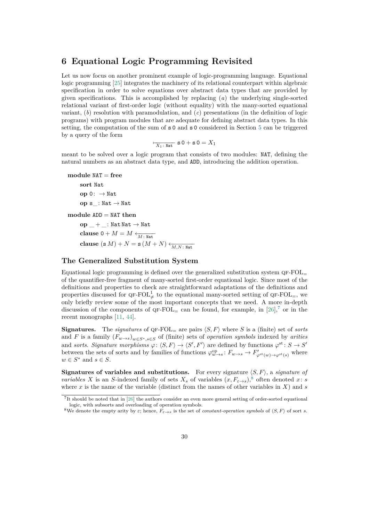# <span id="page-29-0"></span>**6 Equational Logic Programming Revisited**

Let us now focus on another prominent example of logic-programming language. Equational logic programming [\[25\]](#page-35-0) integrates the machinery of its relational counterpart within algebraic specification in order to solve equations over abstract data types that are provided by given specifications. This is accomplished by replacing (*a*) the underlying single-sorted relational variant of first-order logic (without equality) with the many-sorted equational variant, (*b*) resolution with paramodulation, and (*c*) presentations (in the definition of logic programs) with program modules that are adequate for defining abstract data types. In this setting, the computation of the sum of s 0 and s 0 considered in Section [5](#page-17-0) can be triggered by a query of the form

$$
\overline{\phantom{1}_{X_1\colon \mathbb{N}\mathrm{at}}\phantom{1}}\mathop{\mathrm{ s}} 0+\mathop{\mathrm{ s}} 0=X_1
$$

meant to be solved over a logic program that consists of two modules: NAT, defining the natural numbers as an abstract data type, and ADD, introducing the addition operation.

```
module NAT = free
     sort Nat
     op 0: → Nat
     op s : Nat \rightarrow Nat
module ADD = NAT then
     op + : Nat Nat \rightarrow Natclause 0 + M = M \leftarrow_{M \cdot \text{Nat}}clause (s M) + N = s (M + N) \leftarrow (M N)
```
## **The Generalized Substitution System**

Equational logic programming is defined over the generalized substitution system  $\text{QF-FOL}_{=}$ of the quantifier-free fragment of many-sorted first-order equational logic. Since most of the definitions and properties to check are straightforward adaptations of the definitions and properties discussed for  $\mathsf{QF\text{-}FOL}^1_{\neq}$  to the equational many-sorted setting of  $\mathsf{QF\text{-}FOL}^{\perp}$ , we only briefly review some of the most important concepts that we need. A more in-depth discussion of the components of  $\text{OF-FOL}$  can be found, for example, in [\[26\]](#page-36-7),<sup>[7](#page-29-1)</sup> or in the recent monographs [\[11,](#page-35-6) [44\]](#page-37-6).

**Signatures.** The *signatures* of  $QF-FOL$  are pairs  $\langle S, F \rangle$  where *S* is a (finite) set of *sorts* and *F* is a family (*Fw*→*s*)*w*∈*S*∗*,s*∈*<sup>S</sup>* of (finite) sets of *operation symbols* indexed by *arities* and *sorts. Signature morphisms*  $\varphi: \langle S, F \rangle \to \langle S', F' \rangle$  are defined by functions  $\varphi^{st} : S \to S'$ between the sets of sorts and by families of functions  $\varphi_{w\to s}^{\text{op}}$ :  $F_{w\to s} \to F'_{\varphi^{\text{st}}(w)\to \varphi^{\text{st}}(s)}$  where  $w \in S^*$  and  $s \in S$ .

**Signatures of variables and substitutions.** For every signature  $\langle S, F \rangle$ , a *signature of variables X* is an *S*-indexed family of sets  $X_s$  of variables  $(x, F_{\varepsilon \to s})$ ,<sup>[8](#page-29-2)</sup> often denoted *x*: *s* where  $x$  is the name of the variable (distinct from the names of other variables in  $X$ ) and  $s$ 

<span id="page-29-1"></span><sup>7</sup> It should be noted that in [\[26\]](#page-36-7) the authors consider an even more general setting of order-sorted equational logic, with subsorts and overloading of operation symbols.

<span id="page-29-2"></span><sup>&</sup>lt;sup>8</sup>We denote the empty arity by  $\varepsilon$ ; hence,  $F_{\varepsilon \to s}$  is the set of *constant-operation symbols* of  $\langle S, F \rangle$  of sort *s*.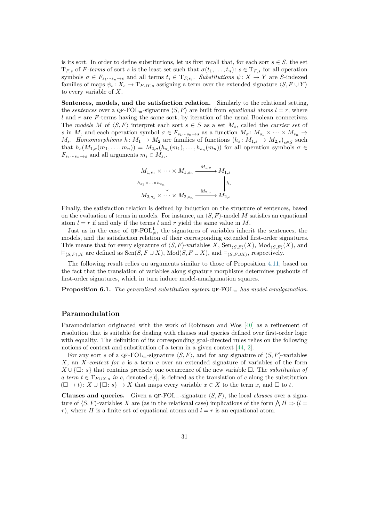is its sort. In order to define substitutions, let us first recall that, for each sort  $s \in S$ , the set  $T_{F,s}$  of *F-terms* of sort *s* is the least set such that  $\sigma(t_1, \ldots, t_n)$ :  $s \in T_{F,s}$  for all operation symbols  $\sigma \in F_{s_1\cdots s_n\to s}$  and all terms  $t_i \in T_{F,s_i}$ . *Substitutions*  $\psi: X \to Y$  are *S*-indexed families of maps  $\psi_s: X_s \to T_{F \cup Y,s}$  assigning a term over the extended signature  $\langle S, F \cup Y \rangle$ to every variable of *X*.

**Sentences, models, and the satisfaction relation.** Similarly to the relational setting, the *sentences* over a QF-FOL<sub>=</sub>-signature  $\langle S, F \rangle$  are built from *equational atoms*  $l = r$ , where *l* and *r* are *F*-terms having the same sort, by iteration of the usual Boolean connectives. The models M of  $\langle S, F \rangle$  interpret each sort  $s \in S$  as a set  $M_s$ , called the *carrier set* of *s* in *M*, and each operation symbol  $\sigma \in F_{s_1\cdots s_n\to s}$  as a function  $M_{\sigma}: M_{s_1}\times \cdots \times M_{s_n}\to$ *M*<sub>s</sub>. *Homomorphisms h*:  $M_1 \rightarrow M_2$  are families of functions  $(h_s: M_{1,s} \rightarrow M_{2,s})_{s \in S}$  such that  $h_s(M_{1,\sigma}(m_1,\ldots,m_n)) = M_{2,\sigma}(h_{s_1}(m_1),\ldots,h_{s_n}(m_n))$  for all operation symbols  $\sigma \in$  $F_{s_1\cdots s_n\rightarrow s}$  and all arguments  $m_i \in M_{s_i}$ .

$$
M_{1,s_1} \times \cdots \times M_{1,s_n} \xrightarrow{M_{1,\sigma}} M_{1,s}
$$
  
\n
$$
h_{s_1} \times \cdots \times h_{s_n} \downarrow \qquad \qquad h_s
$$
  
\n
$$
M_{2,s_1} \times \cdots \times M_{2,s_n} \xrightarrow{M_{2,\sigma}} M_{2,s}
$$

Finally, the satisfaction relation is defined by induction on the structure of sentences, based on the evaluation of terms in models. For instance, an  $\langle S, F \rangle$ -model *M* satisfies an equational atom  $l = r$  if and only if the terms *l* and *r* yield the same value in *M*.

Just as in the case of  $QF\text{-}FOL^1_{\neq}$ , the signatures of variables inherit the sentences, the models, and the satisfaction relation of their corresponding extended first-order signatures. This means that for every signature of  $\langle S, F \rangle$ -variables *X*, Sen $_{\langle S, F \rangle}(X)$ , Mod $_{\langle S, F \rangle}(X)$ , and  $\models_{\langle S,F\rangle, X}$  are defined as Sen $(S, F \cup X)$ , Mod $(S, F \cup X)$ , and  $\models_{\langle S, F \cup X\rangle}$ , respectively.

The following result relies on arguments similar to those of Proposition [4.11,](#page-16-0) based on the fact that the translation of variables along signature morphisms determines pushouts of first-order signatures, which in turn induce model-amalgamation squares.

**Proposition 6.1.** *The generalized substitution system*  $QF-FOL=$  *has model amalgamation.*  $\Box$ 

#### **Paramodulation**

Paramodulation originated with the work of Robinson and Wos [\[40\]](#page-37-12) as a refinement of resolution that is suitable for dealing with clauses and queries defined over first-order logic with equality. The definition of its corresponding goal-directed rules relies on the following notions of context and substitution of a term in a given context [\[44,](#page-37-6) [2\]](#page-34-9).

For any sort *s* of a QF-FOL<sub>=</sub>-signature  $\langle S, F \rangle$ , and for any signature of  $\langle S, F \rangle$ -variables *X*, an *X-context for s* is a term *c* over an extended signature of variables of the form  $X \cup \{\Box : s\}$  that contains precisely one occurrence of the new variable  $\Box$ . The *substitution of a term*  $t \in T_{F \cup X,s}$  *in c*, denoted *c*[*t*], is defined as the translation of *c* along the substitution  $(\Box \rightarrow t): X \cup \{\Box : s\} \rightarrow X$  that maps every variable  $x \in X$  to the term *x*, and  $\Box$  to *t*.

**Clauses and queries.** Given a  $QF-FOL$ =-signature  $\langle S, F \rangle$ , the local *clauses* over a signature of  $\langle S, F \rangle$ -variables *X* are (as in the relational case) implications of the form  $\bigwedge H \Rightarrow (l =$ *r*), where *H* is a finite set of equational atoms and  $l = r$  is an equational atom.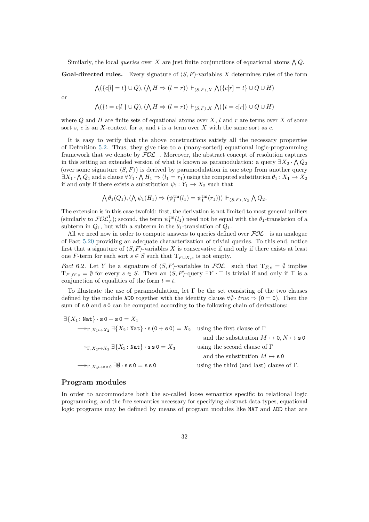Similarly, the local *queries* over *X* are just finite conjunctions of equational atoms  $\bigwedge Q$ .

**Goal-directed rules.** Every signature of  $\langle S, F \rangle$ -variables X determines rules of the form

$$
\bigwedge (\{c[l] = t\} \cup Q), (\bigwedge H \Rightarrow (l = r)) \Vdash_{\langle S, F \rangle, X} \bigwedge (\{c[r] = t\} \cup Q \cup H)
$$

or

$$
\bigwedge (\{t = c[l]\} \cup Q), (\bigwedge H \Rightarrow (l = r)) \Vdash_{\langle S, F \rangle, X} \bigwedge (\{t = c[r]\} \cup Q \cup H)
$$

where  $Q$  and  $H$  are finite sets of equational atoms over  $X$ ,  $l$  and  $r$  are terms over  $X$  of some sort *s*, *c* is an *X*-context for *s*, and *t* is a term over *X* with the same sort as *c*.

It is easy to verify that the above constructions satisfy all the necessary properties of Definition [5.2.](#page-18-0) Thus, they give rise to a (many-sorted) equational logic-programming framework that we denote by  $FOL$ . Moreover, the abstract concept of resolution captures in this setting an extended version of what is known as paramodulation: a query  $\exists X_2 \cdot \bigwedge Q_2$ (over some signature  $\langle S, F \rangle$ ) is derived by paramodulation in one step from another query  $\exists X_1 \cdot \bigwedge Q_1$  and a clause  $\forall Y_1 \cdot \bigwedge H_1 \Rightarrow (l_1 = r_1)$  using the computed substitution  $\theta_1: X_1 \to X_2$ if and only if there exists a substitution  $\psi_1: Y_1 \to X_2$  such that

$$
\bigwedge \theta_1(Q_1), \left( \bigwedge \psi_1(H_1) \Rightarrow (\psi_1^{\text{tm}}(l_1) = \psi_1^{\text{tm}}(r_1)) \right) \Vdash_{\langle S, F \rangle, X_2} \bigwedge Q_2.
$$

The extension is in this case twofold: first, the derivation is not limited to most general unifiers (similarly to  $FOL^1_{\neq}$ ); second, the term  $\psi_1^{\text{tm}}(l_1)$  need not be equal with the  $\theta_1$ -translation of a subterm in  $Q_1$ , but with a subterm in the  $\theta_1$ -translation of  $Q_1$ .

All we need now in order to compute answers to queries defined over  $FOL<sub>=</sub>$  is an analogue of Fact [5.20](#page-25-4) providing an adequate characterization of trivial queries. To this end, notice first that a signature of  $\langle S, F \rangle$ -variables X is conservative if and only if there exists at least one *F*-term for each sort *s*  $\in$  *S* such that  $T_{F \cup X,s}$  is not empty.

*Fact* 6.2. Let *Y* be a signature of  $\langle S, F \rangle$ -variables in  $FOL$  such that  $T_{F,s} = \emptyset$  implies  $T_{F\cup Y,s} = \emptyset$  for every  $s \in S$ . Then an  $\langle S, F \rangle$ -query  $\exists Y \cdot \top$  is trivial if and only if  $\top$  is a conjunction of equalities of the form  $t = t$ .

To illustrate the use of paramodulation, let  $\Gamma$  be the set consisting of the two clauses defined by the module ADD together with the identity clause  $\forall \theta \cdot true \Rightarrow (0 = 0)$ . Then the sum of  $s$  0 and  $s$  0 can be computed according to the following chain of derivations:

| $\exists \{X_1: \texttt{Nat}\}\cdot \texttt{s} \, 0 + \texttt{s} \, 0 = X_1$                                                                                         |                                                   |
|----------------------------------------------------------------------------------------------------------------------------------------------------------------------|---------------------------------------------------|
| $\longrightarrow_{\Gamma, X_1 \mapsto X_2} \exists \{X_2 : \text{Nat}\} \cdot \mathbf{s} (0 + \mathbf{s} 0) = X_2$ using the first clause of $\Gamma$                |                                                   |
|                                                                                                                                                                      | and the substitution $M \mapsto 0, N \mapsto s$ 0 |
| $\longrightarrow_{\Gamma,X_2\mapsto X_3}\exists\{X_3\colon \texttt{Nat}\}\cdot\texttt{ss}\,0=X_3$                                                                    | using the second clause of $\Gamma$               |
|                                                                                                                                                                      | and the substitution $M \mapsto s$ 0              |
| $\longrightarrow_{\Gamma, X_3 \mapsto \mathtt{s} \mathtt{s} \mathtt{0}} \exists \emptyset \cdot \mathtt{s} \mathtt{s} \mathtt{0} = \mathtt{s} \mathtt{s} \mathtt{0}$ | using the third (and last) clause of $\Gamma$ .   |
|                                                                                                                                                                      |                                                   |

#### **Program modules**

In order to accommodate both the so-called loose semantics specific to relational logic programming, and the free semantics necessary for specifying abstract data types, equational logic programs may be defined by means of program modules like NAT and ADD that are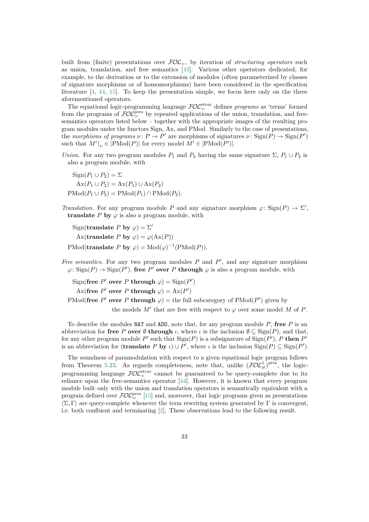built from (finite) presentations over  $FOL_{=}$ , by iteration of *structuring operators* such as union, translation, and free semantics [\[43\]](#page-37-3). Various other operators dedicated, for example, to the derivation or to the extension of modules (often parameterized by classes of signature morphisms or of homomorphisms) have been considered in the specification literature [\[4,](#page-34-4) [44,](#page-37-6) [15\]](#page-35-4). To keep the presentation simple, we focus here only on the three aforementioned operators.

The equational logic-programming language  $\mathcal{FOL}^{\text{struc}}_{=}$  defines *programs* as 'terms' formed from the programs of  $\mathcal{FOL}^{\text{pres}}_{=}$  by repeated applications of the union, translation, and freesemantics operators listed below – together with the appropriate images of the resulting program modules under the functors Sign, Ax, and PMod. Similarly to the case of presentations, the *morphisms of programs*  $\nu: P \to P'$  are morphisms of signatures  $\nu: \text{Sign}(P) \to \text{Sign}(P')$ such that  $M'|_{\nu} \in |{\rm PMod}(P)|$  for every model  $M' \in |{\rm PMod}(P')|$ .

*Union.* For any two program modules  $P_1$  and  $P_2$  having the same signature  $\Sigma$ ,  $P_1 \cup P_2$  is also a program module, with

 $\text{Sien}(P_1 \cup P_2) = \Sigma$  $Ax(P_1 ∪ P_2) = Ax(P_1) ∪ Ax(P_2)$  $\text{PMod}(P_1 \cup P_2) = \text{PMod}(P_1) \cap \text{PMod}(P_2)$ .

*Translation.* For any program module *P* and any signature morphism  $\varphi$ : Sign(*P*)  $\to \Sigma'$ , **translate** *P* **by**  $\varphi$  is also a program module, with

Sign(**translate** *P* **by**  $\varphi$ ) =  $\Sigma'$ Ax(**translate**  $P$  **by**  $\varphi$ ) =  $\varphi$ (Ax( $P$ ))  $\text{PMod}(\text{translate } P \text{ by } \varphi) = \text{Mod}(\varphi)^{-1}(\text{PMod}(P)).$ 

*Free semantics.* For any two program modules  $P$  and  $P'$ , and any signature morphism  $\varphi$ : Sign(*P*)  $\rightarrow$  Sign(*P*<sup>'</sup>), free *P*<sup>'</sup> over *P* through  $\varphi$  is also a program module, with

 $Sign(\textbf{free } P' \textbf{ over } P \textbf{ through } \varphi) = Sign(P')$ Ax(free *P*<sup>'</sup> over *P* through  $\varphi$ ) = Ax(*P*<sup>'</sup>)

PMod(free P' over P through  $\varphi$ ) = the full subcategory of PMod(P') given by

the models  $M'$  that are free with respect to  $\varphi$  over some model  $M$  of  $P$ .

To describe the modules NAT and ADD, note that, for any program module *P*, **free** *P* is an abbreviation for **free** *P* **over**  $\emptyset$  **through** *ι*, where *ι* is the inclusion  $\emptyset \subseteq$  Sign(*P*), and that, for any other program module  $P'$  such that  $\text{Sign}(P)$  is a subsignature of  $\text{Sign}(P')$ ,  $P$  then  $P'$ is an abbreviation for (**translate**  $P$  **by**  $\iota$ )  $\cup$   $P'$ , where  $\iota$  is the inclusion  $\text{Sign}(P) \subseteq \text{Sign}(P')$ .

The soundness of paramodulation with respect to a given equational logic program follows from Theorem [5.23.](#page-25-3) As regards completeness, note that, unlike  $(\overline{FOC}^1_{\neq})^{\text{pres}}$ , the logicprogramming language  $\mathcal{FOL}^{\text{struc}}_{=}$  cannot be guaranteed to be query-complete due to its reliance upon the free-semantics operator [\[44\]](#page-37-6). However, it is known that every program module built only with the union and translation operators is semantically equivalent with a program defined over  $\mathcal{FOL}^{\text{pres}}_{=}[15]$  $\mathcal{FOL}^{\text{pres}}_{=}[15]$  and, moreover, that logic programs given as presentations  $\langle \Sigma, \Gamma \rangle$  are query-complete whenever the term rewriting system generated by  $\Gamma$  is convergent, i.e. both confluent and terminating [\[2\]](#page-34-9). These observations lead to the following result.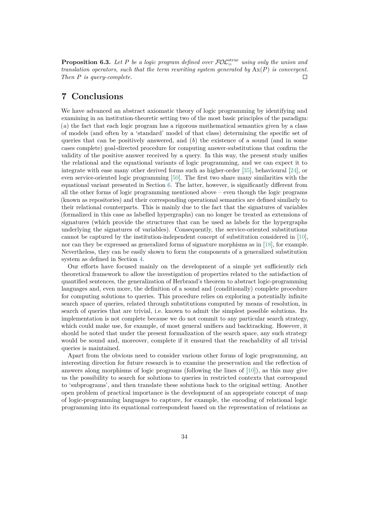**Proposition 6.3.** Let P be a logic program defined over  $\mathcal{FOL}^{\text{struc}}_{=}$  using only the union and *translation operators, such that the term rewriting system generated by* Ax(*P*) *is convergent. Then P is query-complete.*  $\Box$ 

# **7 Conclusions**

We have advanced an abstract axiomatic theory of logic programming by identifying and examining in an institution-theoretic setting two of the most basic principles of the paradigm: (*a*) the fact that each logic program has a rigorous mathematical semantics given by a class of models (and often by a 'standard' model of that class) determining the specific set of queries that can be positively answered, and (*b*) the existence of a sound (and in some cases complete) goal-directed procedure for computing answer-substitutions that confirm the validity of the positive answer received by a query. In this way, the present study unifies the relational and the equational variants of logic programming, and we can expect it to integrate with ease many other derived forms such as higher-order [\[35\]](#page-36-5), behavioural [\[24\]](#page-35-1), or even service-oriented logic programming [\[50\]](#page-37-1). The first two share many similarities with the equational variant presented in Section [6.](#page-29-0) The latter, however, is significantly different from all the other forms of logic programming mentioned above – even though the logic programs (known as repositories) and their corresponding operational semantics are defined similarly to their relational counterparts. This is mainly due to the fact that the signatures of variables (formalized in this case as labelled hypergraphs) can no longer be treated as extensions of signatures (which provide the structures that can be used as labels for the hypergraphs underlying the signatures of variables). Consequently, the service-oriented substitutions cannot be captured by the institution-independent concept of substitution considered in [\[10\]](#page-34-3), nor can they be expressed as generalized forms of signature morphisms as in [\[18\]](#page-35-9), for example. Nevertheless, they can be easily shown to form the components of a generalized substitution system as defined in Section [4.](#page-11-0)

Our efforts have focused mainly on the development of a simple yet sufficiently rich theoretical framework to allow the investigation of properties related to the satisfaction of quantified sentences, the generalization of Herbrand's theorem to abstract logic-programming languages and, even more, the definition of a sound and (conditionally) complete procedure for computing solutions to queries. This procedure relies on exploring a potentially infinite search space of queries, related through substitutions computed by means of resolution, in search of queries that are trivial, i.e. known to admit the simplest possible solutions. Its implementation is not complete because we do not commit to any particular search strategy, which could make use, for example, of most general unifiers and backtracking. However, it should be noted that under the present formalization of the search space, any such strategy would be sound and, moreover, complete if it ensured that the reachability of all trivial queries is maintained.

Apart from the obvious need to consider various other forms of logic programming, an interesting direction for future research is to examine the preservation and the reflection of answers along morphisms of logic programs (following the lines of [\[10\]](#page-34-3)), as this may give us the possibility to search for solutions to queries in restricted contexts that correspond to 'subprograms', and then translate these solutions back to the original setting. Another open problem of practical importance is the development of an appropriate concept of map of logic-programming languages to capture, for example, the encoding of relational logic programming into its equational correspondent based on the representation of relations as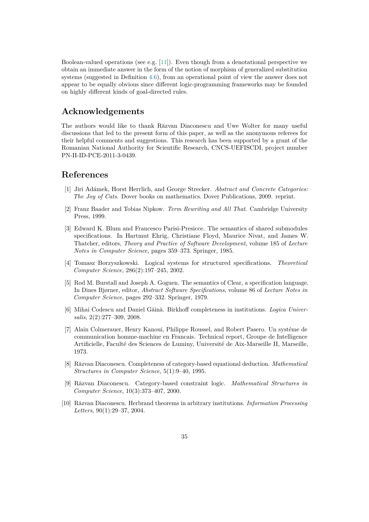Boolean-valued operations (see e.g. [\[11\]](#page-35-6)). Even though from a denotational perspective we obtain an immediate answer in the form of the notion of morphism of generalized substitution systems (suggested in Definition [4.6\)](#page-14-0), from an operational point of view the answer does not appear to be equally obvious since different logic-programming frameworks may be founded on highly different kinds of goal-directed rules.

## **Acknowledgements**

The authors would like to thank Răzvan Diaconescu and Uwe Wolter for many useful discussions that led to the present form of this paper, as well as the anonymous referees for their helpful comments and suggestions. This research has been supported by a grant of the Romanian National Authority for Scientific Research, CNCS-UEFISCDI, project number PN-II-ID-PCE-2011-3-0439.

## **References**

- <span id="page-34-5"></span>[1] Jiri Adámek, Horst Herrlich, and George Strecker. *Abstract and Concrete Categories: The Joy of Cats*. Dover books on mathematics. Dover Publications, 2009. reprint.
- <span id="page-34-9"></span>[2] Franz Baader and Tobias Nipkow. *Term Rewriting and All That*. Cambridge University Press, 1999.
- <span id="page-34-8"></span>[3] Edward K. Blum and Francesco Parisi-Presicce. The semantics of shared submodules specifications. In Hartmut Ehrig, Christiane Floyd, Maurice Nivat, and James W. Thatcher, editors, *Theory and Practice of Software Development*, volume 185 of *Lecture Notes in Computer Science*, pages 359–373. Springer, 1985.
- <span id="page-34-4"></span>[4] Tomasz Borzyszkowski. Logical systems for structured specifications. *Theoretical Computer Science*, 286(2):197–245, 2002.
- <span id="page-34-6"></span>[5] Rod M. Burstall and Joseph A. Goguen. The semantics of Clear, a specification language. In Dines Bjørner, editor, *Abstract Software Specifications*, volume 86 of *Lecture Notes in Computer Science*, pages 292–332. Springer, 1979.
- <span id="page-34-7"></span>[6] Mihai Codescu and Daniel Găină. Birkhoff completeness in institutions. *Logica Universalis*, 2(2):277–309, 2008.
- <span id="page-34-0"></span>[7] Alain Colmerauer, Henry Kanoui, Philippe Roussel, and Robert Pasero. Un systéme de communication homme-machine en Francais. Technical report, Groupe de Intelligence Artificielle, Faculté des Sciences de Luminy, Université de Aix-Marseille II, Marseille, 1973.
- <span id="page-34-1"></span>[8] Răzvan Diaconescu. Completeness of category-based equational deduction. *Mathematical Structures in Computer Science*, 5(1):9–40, 1995.
- <span id="page-34-2"></span>[9] Răzvan Diaconescu. Category-based constraint logic. *Mathematical Structures in Computer Science*, 10(3):373–407, 2000.
- <span id="page-34-3"></span>[10] Răzvan Diaconescu. Herbrand theorems in arbitrary institutions. *Information Processing Letters*, 90(1):29–37, 2004.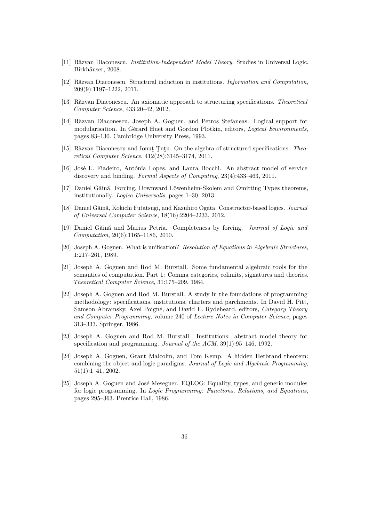- <span id="page-35-6"></span>[11] Răzvan Diaconescu. *Institution-Independent Model Theory*. Studies in Universal Logic. Birkhäuser, 2008.
- <span id="page-35-8"></span>[12] Răzvan Diaconescu. Structural induction in institutions. *Information and Computation*, 209(9):1197–1222, 2011.
- <span id="page-35-13"></span>[13] Răzvan Diaconescu. An axiomatic approach to structuring specifications. *Theoretical Computer Science*, 433:20–42, 2012.
- <span id="page-35-12"></span>[14] Răzvan Diaconescu, Joseph A. Goguen, and Petros Stefaneas. Logical support for modularisation. In Gérard Huet and Gordon Plotkin, editors, *Logical Environments*, pages 83–130. Cambridge University Press, 1993.
- <span id="page-35-4"></span>[15] Răzvan Diaconescu and Ionuţ Ţuţu. On the algebra of structured specifications. *Theoretical Computer Science*, 412(28):3145–3174, 2011.
- <span id="page-35-2"></span>[16] José L. Fiadeiro, Antónia Lopes, and Laura Bocchi. An abstract model of service discovery and binding. *Formal Aspects of Computing*, 23(4):433–463, 2011.
- <span id="page-35-11"></span>[17] Daniel Găină. Forcing, Downward Löwenheim-Skolem and Omitting Types theorems, institutionally. *Logica Universalis*, pages 1–30, 2013.
- <span id="page-35-9"></span>[18] Daniel Găină, Kokichi Futatsugi, and Kazuhiro Ogata. Constructor-based logics. *Journal of Universal Computer Science*, 18(16):2204–2233, 2012.
- <span id="page-35-10"></span>[19] Daniel Găină and Marius Petria. Completeness by forcing. *Journal of Logic and Computation*, 20(6):1165–1186, 2010.
- <span id="page-35-14"></span>[20] Joseph A. Goguen. What is unification? *Resolution of Equations in Algebraic Structures*, 1:217–261, 1989.
- <span id="page-35-5"></span>[21] Joseph A. Goguen and Rod M. Burstall. Some fundamental algebraic tools for the semantics of computation. Part 1: Comma categories, colimits, signatures and theories. *Theoretical Computer Science*, 31:175–209, 1984.
- <span id="page-35-7"></span>[22] Joseph A. Goguen and Rod M. Burstall. A study in the foundations of programming methodology: specifications, institutions, charters and parchments. In David H. Pitt, Samson Abramsky, Axel Poigné, and David E. Rydeheard, editors, *Category Theory and Computer Programming*, volume 240 of *Lecture Notes in Computer Science*, pages 313–333. Springer, 1986.
- <span id="page-35-3"></span>[23] Joseph A. Goguen and Rod M. Burstall. Institutions: abstract model theory for specification and programming. *Journal of the ACM*, 39(1):95–146, 1992.
- <span id="page-35-1"></span>[24] Joseph A. Goguen, Grant Malcolm, and Tom Kemp. A hidden Herbrand theorem: combining the object and logic paradigms. *Journal of Logic and Algebraic Programming*, 51(1):1–41, 2002.
- <span id="page-35-0"></span>[25] Joseph A. Goguen and José Meseguer. EQLOG: Equality, types, and generic modules for logic programming. In *Logic Programming: Functions, Relations, and Equations*, pages 295–363. Prentice Hall, 1986.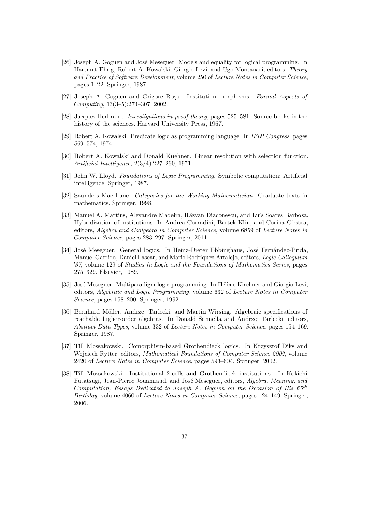- <span id="page-36-7"></span>[26] Joseph A. Goguen and José Meseguer. Models and equality for logical programming. In Hartmut Ehrig, Robert A. Kowalski, Giorgio Levi, and Ugo Montanari, editors, *Theory and Practice of Software Development*, volume 250 of *Lecture Notes in Computer Science*, pages 1–22. Springer, 1987.
- <span id="page-36-9"></span>[27] Joseph A. Goguen and Grigore Roşu. Institution morphisms. *Formal Aspects of Computing*, 13(3–5):274–307, 2002.
- <span id="page-36-2"></span>[28] Jacques Herbrand. *Investigations in proof theory*, pages 525–581. Source books in the history of the sciences. Harvard University Press, 1967.
- <span id="page-36-1"></span>[29] Robert A. Kowalski. Predicate logic as programming language. In *IFIP Congress*, pages 569–574, 1974.
- <span id="page-36-0"></span>[30] Robert A. Kowalski and Donald Kuehner. Linear resolution with selection function. *Artificial Intelligence*, 2(3/4):227–260, 1971.
- <span id="page-36-3"></span>[31] John W. Lloyd. *Foundations of Logic Programming*. Symbolic computation: Artificial intelligence. Springer, 1987.
- <span id="page-36-6"></span>[32] Saunders Mac Lane. *Categories for the Working Mathematician*. Graduate texts in mathematics. Springer, 1998.
- <span id="page-36-12"></span>[33] Manuel A. Martins, Alexandre Madeira, Răzvan Diaconescu, and Luís Soares Barbosa. Hybridization of institutions. In Andrea Corradini, Bartek Klin, and Corina Cîrstea, editors, *Algebra and Coalgebra in Computer Science*, volume 6859 of *Lecture Notes in Computer Science*, pages 283–297. Springer, 2011.
- <span id="page-36-4"></span>[34] José Meseguer. General logics. In Heinz-Dieter Ebbinghaus, José Fernández-Prida, Manuel Garrido, Daniel Lascar, and Mario Rodriquez-Artalejo, editors, *Logic Colloquium '87*, volume 129 of *Studies in Logic and the Foundations of Mathematics Series*, pages 275–329. Elsevier, 1989.
- <span id="page-36-5"></span>[35] José Meseguer. Multiparadigm logic programming. In Hélène Kirchner and Giorgio Levi, editors, *Algebraic and Logic Programming*, volume 632 of *Lecture Notes in Computer Science*, pages 158–200. Springer, 1992.
- <span id="page-36-8"></span>[36] Bernhard Möller, Andrzej Tarlecki, and Martin Wirsing. Algebraic specifications of reachable higher-order algebras. In Donald Sannella and Andrzej Tarlecki, editors, *Abstract Data Types*, volume 332 of *Lecture Notes in Computer Science*, pages 154–169. Springer, 1987.
- <span id="page-36-10"></span>[37] Till Mossakowski. Comorphism-based Grothendieck logics. In Krzysztof Diks and Wojciech Rytter, editors, *Mathematical Foundations of Computer Science 2002*, volume 2420 of *Lecture Notes in Computer Science*, pages 593–604. Springer, 2002.
- <span id="page-36-11"></span>[38] Till Mossakowski. Institutional 2-cells and Grothendieck institutions. In Kokichi Futatsugi, Jean-Pierre Jouannaud, and José Meseguer, editors, *Algebra, Meaning, and Computation, Essays Dedicated to Joseph A. Goguen on the Occasion of His 65th Birthday*, volume 4060 of *Lecture Notes in Computer Science*, pages 124–149. Springer, 2006.